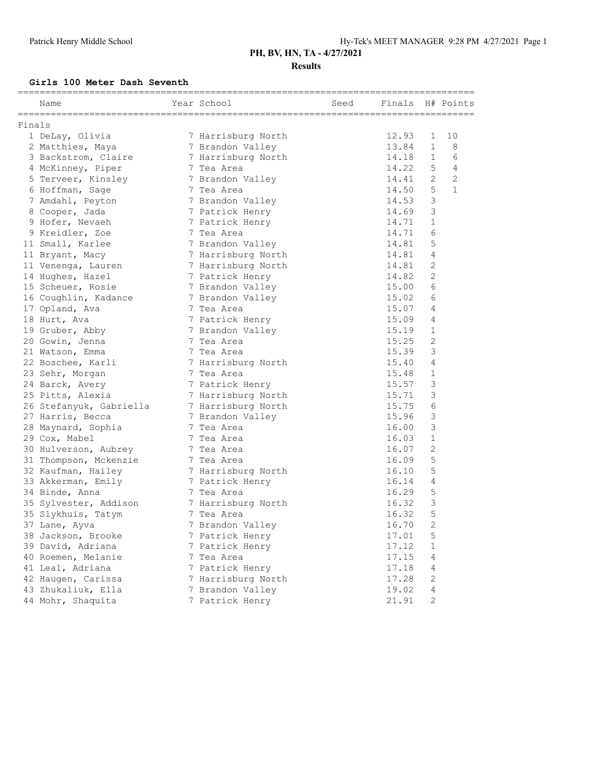### **Results**

#### **Girls 100 Meter Dash Seventh**

|        | Name                    | Year School        | Seed | Finals |                | H# Points    |
|--------|-------------------------|--------------------|------|--------|----------------|--------------|
| Finals |                         |                    |      |        |                |              |
|        | 1 DeLay, Olivia         | 7 Harrisburg North |      | 12.93  | 1              | 10           |
|        | 2 Matthies, Maya        | 7 Brandon Valley   |      | 13.84  | $\mathbf{1}$   | 8            |
|        | 3 Backstrom, Claire     | 7 Harrisburg North |      | 14.18  | $\mathbf{1}$   | 6            |
|        | 4 McKinney, Piper       | 7 Tea Area         |      | 14.22  | 5              | 4            |
|        | 5 Terveer, Kinsley      | 7 Brandon Valley   |      | 14.41  | 2              | $\mathbf{2}$ |
|        | 6 Hoffman, Sage         | 7 Tea Area         |      | 14.50  | 5              | $\mathbf{1}$ |
|        | 7 Amdahl, Peyton        | 7 Brandon Valley   |      | 14.53  | 3              |              |
|        | 8 Cooper, Jada          | 7 Patrick Henry    |      | 14.69  | 3              |              |
|        | 9 Hofer, Nevaeh         | 7 Patrick Henry    |      | 14.71  | $\mathbf{1}$   |              |
|        | 9 Kreidler, Zoe         | 7 Tea Area         |      | 14.71  | 6              |              |
|        | 11 Small, Karlee        | 7 Brandon Valley   |      | 14.81  | 5              |              |
|        | 11 Bryant, Macy         | 7 Harrisburg North |      | 14.81  | 4              |              |
|        | 11 Venenga, Lauren      | 7 Harrisburg North |      | 14.81  | 2              |              |
|        | 14 Hughes, Hazel        | 7 Patrick Henry    |      | 14.82  | $\overline{2}$ |              |
|        | 15 Scheuer, Rosie       | 7 Brandon Valley   |      | 15.00  | 6              |              |
|        | 16 Coughlin, Kadance    | 7 Brandon Valley   |      | 15.02  | 6              |              |
|        | 17 Opland, Ava          | 7 Tea Area         |      | 15.07  | 4              |              |
|        | 18 Hurt, Ava            | 7 Patrick Henry    |      | 15.09  | 4              |              |
|        | 19 Gruber, Abby         | 7 Brandon Valley   |      | 15.19  | $\mathbf{1}$   |              |
|        | 20 Gowin, Jenna         | 7 Tea Area         |      | 15.25  | $\overline{c}$ |              |
|        | 21 Watson, Emma         | 7 Tea Area         |      | 15.39  | 3              |              |
|        | 22 Boschee, Karli       | 7 Harrisburg North |      | 15.40  | 4              |              |
|        | 23 Sehr, Morgan         | 7 Tea Area         |      | 15.48  | $\mathbf{1}$   |              |
|        | 24 Barck, Avery         | 7 Patrick Henry    |      | 15.57  | 3              |              |
|        | 25 Pitts, Alexia        | 7 Harrisburg North |      | 15.71  | 3              |              |
|        | 26 Stefanyuk, Gabriella | 7 Harrisburg North |      | 15.75  | 6              |              |
|        | 27 Harris, Becca        | 7 Brandon Valley   |      | 15.96  | 3              |              |
|        | 28 Maynard, Sophia      | 7 Tea Area         |      | 16.00  | 3              |              |
|        | 29 Cox, Mabel           | 7 Tea Area         |      | 16.03  | $\mathbf 1$    |              |
|        | 30 Hulverson, Aubrey    | 7 Tea Area         |      | 16.07  | $\overline{c}$ |              |
|        | 31 Thompson, Mckenzie   | 7 Tea Area         |      | 16.09  | 5              |              |
|        | 32 Kaufman, Hailey      | 7 Harrisburg North |      | 16.10  | 5              |              |
|        | 33 Akkerman, Emily      | 7 Patrick Henry    |      | 16.14  | $\overline{4}$ |              |
|        | 34 Binde, Anna          | 7 Tea Area         |      | 16.29  | 5              |              |
|        | 35 Sylvester, Addison   | 7 Harrisburg North |      | 16.32  | 3              |              |
|        | 35 Slykhuis, Tatym      | 7 Tea Area         |      | 16.32  | 5              |              |
|        | 37 Lane, Ayva           | 7 Brandon Valley   |      | 16.70  | $\overline{2}$ |              |
|        | 38 Jackson, Brooke      | 7 Patrick Henry    |      | 17.01  | 5              |              |
|        | 39 David, Adriana       | 7 Patrick Henry    |      | 17.12  | $\mathbf{1}$   |              |
|        | 40 Roemen, Melanie      | 7 Tea Area         |      | 17.15  | 4              |              |
|        | 41 Leal, Adriana        | 7 Patrick Henry    |      | 17.18  | 4              |              |
|        | 42 Haugen, Carissa      | 7 Harrisburg North |      | 17.28  | $\sqrt{2}$     |              |
|        | 43 Zhukaliuk, Ella      | 7 Brandon Valley   |      | 19.02  | 4              |              |
|        | 44 Mohr, Shaquita       | 7 Patrick Henry    |      | 21.91  | $\mathbf{2}$   |              |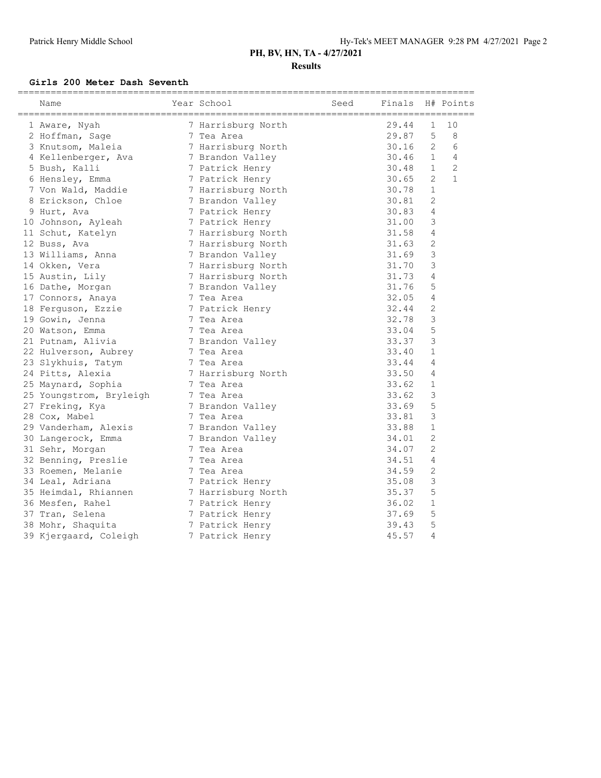### **Results**

#### **Girls 200 Meter Dash Seventh**

| Name                    | Year School        | Seed | Finals |                | H# Points      |
|-------------------------|--------------------|------|--------|----------------|----------------|
| 1 Aware, Nyah           | 7 Harrisburg North |      | 29.44  | 1              | 10             |
| 2 Hoffman, Sage         | 7 Tea Area         |      | 29.87  | 5              | 8              |
| 3 Knutsom, Maleia       | 7 Harrisburg North |      | 30.16  | 2              | 6              |
| 4 Kellenberger, Ava     | 7 Brandon Valley   |      | 30.46  | $\mathbf{1}$   | $\overline{4}$ |
| 5 Bush, Kalli           | 7 Patrick Henry    |      | 30.48  | $\mathbf{1}$   | $\overline{c}$ |
| 6 Hensley, Emma         | 7 Patrick Henry    |      | 30.65  | 2              | $\mathbf{1}$   |
| 7 Von Wald, Maddie      | 7 Harrisburg North |      | 30.78  | $\mathbf{1}$   |                |
| 8 Erickson, Chloe       | 7 Brandon Valley   |      | 30.81  | $\overline{2}$ |                |
| 9 Hurt, Ava             | 7 Patrick Henry    |      | 30.83  | $\overline{4}$ |                |
| 10 Johnson, Ayleah      | 7 Patrick Henry    |      | 31.00  | 3              |                |
| 11 Schut, Katelyn       | 7 Harrisburg North |      | 31.58  | $\overline{4}$ |                |
| 12 Buss, Ava            | 7 Harrisburg North |      | 31.63  | 2              |                |
| 13 Williams, Anna       | 7 Brandon Valley   |      | 31.69  | 3              |                |
| 14 Okken, Vera          | 7 Harrisburg North |      | 31.70  | 3              |                |
| 15 Austin, Lily         | 7 Harrisburg North |      | 31.73  | $\overline{4}$ |                |
| 16 Dathe, Morgan        | 7 Brandon Valley   |      | 31.76  | 5              |                |
| 17 Connors, Anaya       | 7 Tea Area         |      | 32.05  | 4              |                |
| 18 Ferguson, Ezzie      | 7 Patrick Henry    |      | 32.44  | $\overline{c}$ |                |
| 19 Gowin, Jenna         | 7 Tea Area         |      | 32.78  | 3              |                |
| 20 Watson, Emma         | 7 Tea Area         |      | 33.04  | 5              |                |
| 21 Putnam, Alivia       | 7 Brandon Valley   |      | 33.37  | 3              |                |
| 22 Hulverson, Aubrey    | 7 Tea Area         |      | 33.40  | $\mathbf{1}$   |                |
| 23 Slykhuis, Tatym      | 7 Tea Area         |      | 33.44  | 4              |                |
| 24 Pitts, Alexia        | 7 Harrisburg North |      | 33.50  | 4              |                |
| 25 Maynard, Sophia      | 7 Tea Area         |      | 33.62  | $\mathbf{1}$   |                |
| 25 Youngstrom, Bryleigh | 7 Tea Area         |      | 33.62  | 3              |                |
| 27 Freking, Kya         | 7 Brandon Valley   |      | 33.69  | 5              |                |
| 28 Cox, Mabel           | 7 Tea Area         |      | 33.81  | 3              |                |
| 29 Vanderham, Alexis    | 7 Brandon Valley   |      | 33.88  | $\mathbf{1}$   |                |
| 30 Langerock, Emma      | 7 Brandon Valley   |      | 34.01  | $\mathbf{2}$   |                |
| 31 Sehr, Morgan         | 7 Tea Area         |      | 34.07  | $\overline{2}$ |                |
| 32 Benning, Preslie     | 7 Tea Area         |      | 34.51  | 4              |                |
| 33 Roemen, Melanie      | 7 Tea Area         |      | 34.59  | 2              |                |
| 34 Leal, Adriana        | 7 Patrick Henry    |      | 35.08  | 3              |                |
| 35 Heimdal, Rhiannen    | 7 Harrisburg North |      | 35.37  | 5              |                |
| 36 Mesfen, Rahel        | 7 Patrick Henry    |      | 36.02  | $\mathbf{1}$   |                |
| 37 Tran, Selena         | 7 Patrick Henry    |      | 37.69  | 5              |                |
| 38 Mohr, Shaquita       | 7 Patrick Henry    |      | 39.43  | 5              |                |
| 39 Kjergaard, Coleigh   | 7 Patrick Henry    |      | 45.57  | 4              |                |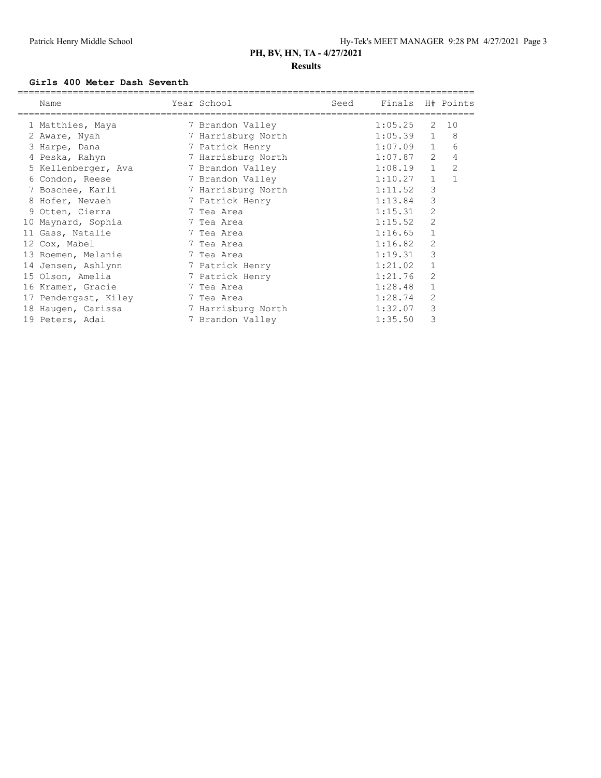### **Girls 400 Meter Dash Seventh**

| Name                 | Year School        | Seed | Finals H# Points |                |                |
|----------------------|--------------------|------|------------------|----------------|----------------|
| 1 Matthies, Maya     | 7 Brandon Valley   |      | 1:05.25          | 2              | 10             |
| 2 Aware, Nyah        | 7 Harrisburg North |      | $1:05.39$ 1      |                | -8             |
| 3 Harpe, Dana        | 7 Patrick Henry    |      | 1:07.09          | $\mathbf{1}$   | 6              |
| 4 Peska, Rahyn       | 7 Harrisburg North |      | 1:07.87          | 2              | 4              |
| 5 Kellenberger, Ava  | 7 Brandon Valley   |      | 1:08.19          | $\mathbf{1}$   | $\overline{2}$ |
| 6 Condon, Reese      | 7 Brandon Valley   |      | 1:10.27          | $\mathbf{1}$   | $\mathbf{1}$   |
| 7 Boschee, Karli     | 7 Harrisburg North |      | 1:11.52          | 3              |                |
| 8 Hofer, Nevaeh      | 7 Patrick Henry    |      | 1:13.84          | 3              |                |
| 9 Otten, Cierra      | 7 Tea Area         |      | 1:15.31          | 2              |                |
| 10 Maynard, Sophia   | 7 Tea Area         |      | 1:15.52          | 2              |                |
| 11 Gass, Natalie     | 7 Tea Area         |      | 1:16.65          | $\mathbf{1}$   |                |
| 12 Cox, Mabel        | 7 Tea Area         |      | 1:16.82          | $\overline{2}$ |                |
| 13 Roemen, Melanie   | 7 Tea Area         |      | 1:19.31          | 3              |                |
| 14 Jensen, Ashlynn   | 7 Patrick Henry    |      | 1:21.02          |                |                |
| 15 Olson, Amelia     | 7 Patrick Henry    |      | 1:21.76          | 2              |                |
| 16 Kramer, Gracie    | 7 Tea Area         |      | 1:28.48          |                |                |
| 17 Pendergast, Kiley | 7 Tea Area         |      | 1:28.74          | 2              |                |
| 18 Haugen, Carissa   | 7 Harrisburg North |      | 1:32.07          | 3              |                |
| 19 Peters, Adai      | 7 Brandon Valley   |      | 1:35.50          | 3              |                |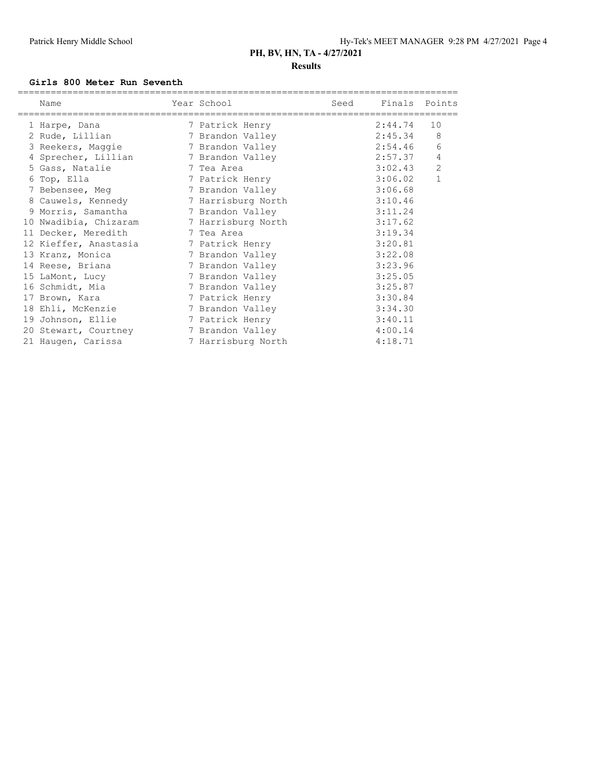#### **Girls 800 Meter Run Seventh**

| Name<br>==============================     | Year School<br>=============================== | Seed | Finals Points |                |
|--------------------------------------------|------------------------------------------------|------|---------------|----------------|
| 1 Harpe, Dana                              | 7 Patrick Henry                                |      | 2:44.74       | 10             |
| 2 Rude, Lillian                            | 7 Brandon Valley                               |      | 2:45.34       | 8              |
| 3 Reekers, Maggie                          | 7 Brandon Valley                               |      | 2:54.46       | 6              |
| 4 Sprecher, Lillian                        | 7 Brandon Valley                               |      | 2:57.37       | 4              |
| 5 Gass, Natalie                            | 7 Tea Area                                     |      | 3:02.43       | $\overline{c}$ |
| 6 Top, Ella                                | 7 Patrick Henry                                |      | 3:06.02       | $\mathbf{1}$   |
| 7 Bebensee, Meq                            | 7 Brandon Valley                               |      | 3:06.68       |                |
| 8 Cauwels, Kennedy                         | 7 Harrisburg North                             |      | 3:10.46       |                |
| 9 Morris, Samantha (1988) 7 Brandon Valley |                                                |      | 3:11.24       |                |
| 10 Nwadibia, Chizaram 7 Harrisburg North   |                                                |      | 3:17.62       |                |
| 11 Decker, Meredith                        | 7 Tea Area                                     |      | 3:19.34       |                |
| 12 Kieffer, Anastasia 17 Patrick Henry     |                                                |      | 3:20.81       |                |
| 13 Kranz, Monica                           | 7 Brandon Valley                               |      | 3:22.08       |                |
| 14 Reese, Briana                           | 7 Brandon Valley                               |      | 3:23.96       |                |
| 15 LaMont, Lucy                            | 7 Brandon Valley                               |      | 3:25.05       |                |
| 16 Schmidt, Mia                            | 7 Brandon Valley                               |      | 3:25.87       |                |
| 17 Brown, Kara                             | 7 Patrick Henry                                |      | 3:30.84       |                |
| 18 Ehli, McKenzie                          | 7 Brandon Valley                               |      | 3:34.30       |                |
| 19 Johnson, Ellie                          | 7 Patrick Henry                                |      | 3:40.11       |                |
| 20 Stewart, Courtney                       | 7 Brandon Valley                               |      | 4:00.14       |                |
| 21 Haugen, Carissa                         | 7 Harrisburg North                             |      | 4:18.71       |                |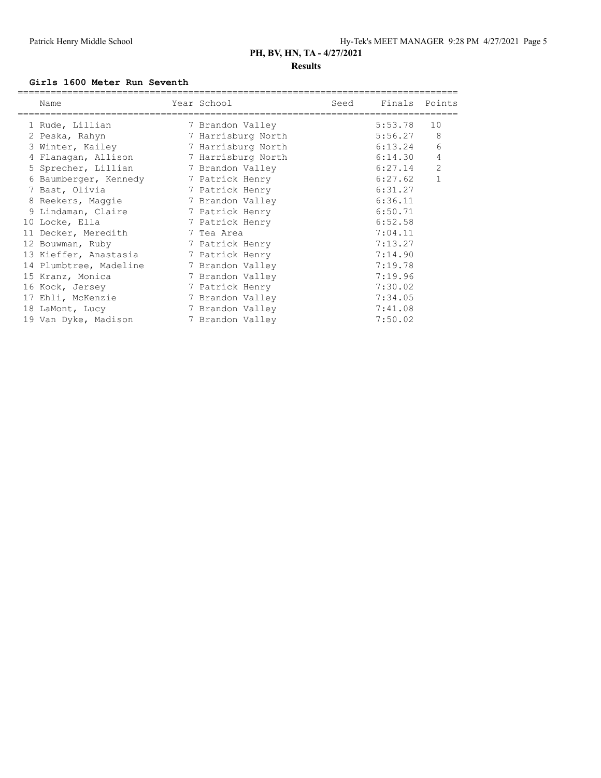#### **Girls 1600 Meter Run Seventh**

| Name                                   | Year School        | Seed | Finals Points<br>================================ |              |
|----------------------------------------|--------------------|------|---------------------------------------------------|--------------|
| 1 Rude, Lillian                        | 7 Brandon Valley   |      | 5:53.78                                           | 10           |
| 2 Peska, Rahyn                         | 7 Harrisburg North |      | 5:56.27                                           | 8            |
| 3 Winter, Kailey                       | 7 Harrisburg North |      | 6:13.24                                           | 6            |
| 4 Flanagan, Allison 7 Harrisburg North |                    |      | 6:14.30                                           | 4            |
| 5 Sprecher, Lillian 5 7 Brandon Valley |                    |      | 6:27.14                                           | 2            |
| 6 Baumberger, Kennedy 3 Patrick Henry  |                    |      | 6:27.62                                           | $\mathbf{1}$ |
| 7 Bast, Olivia                         | 7 Patrick Henry    |      | 6:31.27                                           |              |
| 8 Reekers, Maggie                      | 7 Brandon Valley   |      | 6:36.11                                           |              |
| 9 Lindaman, Claire                     | 7 Patrick Henry    |      | 6:50.71                                           |              |
| 10 Locke, Ella                         | 7 Patrick Henry    |      | 6:52.58                                           |              |
| 11 Decker, Meredith                    | 7 Tea Area         |      | 7:04.11                                           |              |
| 12 Bouwman, Ruby                       | 7 Patrick Henry    |      | 7:13.27                                           |              |
| 13 Kieffer, Anastasia                  | 7 Patrick Henry    |      | 7:14.90                                           |              |
| 14 Plumbtree, Madeline                 | 7 Brandon Valley   |      | 7:19.78                                           |              |
| 15 Kranz, Monica                       | 7 Brandon Valley   |      | 7:19.96                                           |              |
| 16 Kock, Jersey                        | 7 Patrick Henry    |      | 7:30.02                                           |              |
| 17 Ehli, McKenzie                      | 7 Brandon Valley   |      | 7:34.05                                           |              |
| 18 LaMont, Lucy                        | 7 Brandon Valley   |      | 7:41.08                                           |              |
| 19 Van Dyke, Madison                   | 7 Brandon Valley   |      | 7:50.02                                           |              |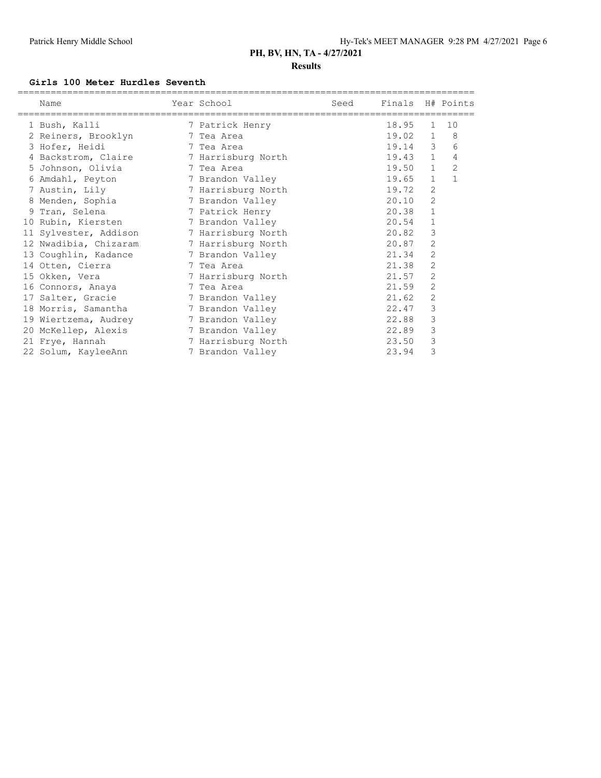### **Results**

#### **Girls 100 Meter Hurdles Seventh**

| Name                  | Year School        | Seed | Finals H# Points |                |                |
|-----------------------|--------------------|------|------------------|----------------|----------------|
| 1 Bush, Kalli         | 7 Patrick Henry    |      | 18.95            | $\mathbf{1}$   | 10             |
| 2 Reiners, Brooklyn   | 7 Tea Area         |      | 19.02 1          |                | 8              |
| 3 Hofer, Heidi        | 7 Tea Area         |      | 19.14            | 3              | 6              |
| 4 Backstrom, Claire   | 7 Harrisburg North |      | 19.43            | $\mathbf{1}$   | 4              |
| 5 Johnson, Olivia     | 7 Tea Area         |      | 19.50            | $\mathbf{1}$   | $\overline{c}$ |
| 6 Amdahl, Peyton      | 7 Brandon Valley   |      | 19.65            | $\mathbf{1}$   | $\mathbf{1}$   |
| 7 Austin, Lily        | 7 Harrisburg North |      | 19.72            | 2              |                |
| 8 Menden, Sophia      | 7 Brandon Valley   |      | 20.10            | 2              |                |
| 9 Tran, Selena        | 7 Patrick Henry    |      | 20.38            | 1              |                |
| 10 Rubin, Kiersten    | 7 Brandon Valley   |      | 20.54            | $\mathbf 1$    |                |
| 11 Sylvester, Addison | 7 Harrisburg North |      | 20.82            | 3              |                |
| 12 Nwadibia, Chizaram | 7 Harrisburg North |      | 20.87            | 2              |                |
| 13 Coughlin, Kadance  | 7 Brandon Valley   |      | 21.34            | 2              |                |
| 14 Otten, Cierra      | 7 Tea Area         |      | 21.38            | $\overline{2}$ |                |
| 15 Okken, Vera        | 7 Harrisburg North |      | 21.57            | 2              |                |
| 16 Connors, Anaya     | 7 Tea Area         |      | 21.59            | 2              |                |
| 17 Salter, Gracie     | 7 Brandon Valley   |      | 21.62            | 2              |                |
| 18 Morris, Samantha   | 7 Brandon Valley   |      | 22.47            | 3              |                |
| 19 Wiertzema, Audrey  | 7 Brandon Valley   |      | 22.88            | 3              |                |
| 20 McKellep, Alexis   | 7 Brandon Valley   |      | 22.89            | 3              |                |
| 21 Frye, Hannah       | 7 Harrisburg North |      | 23.50            | 3              |                |
| 22 Solum, KayleeAnn   | 7 Brandon Valley   |      | 23.94            | 3              |                |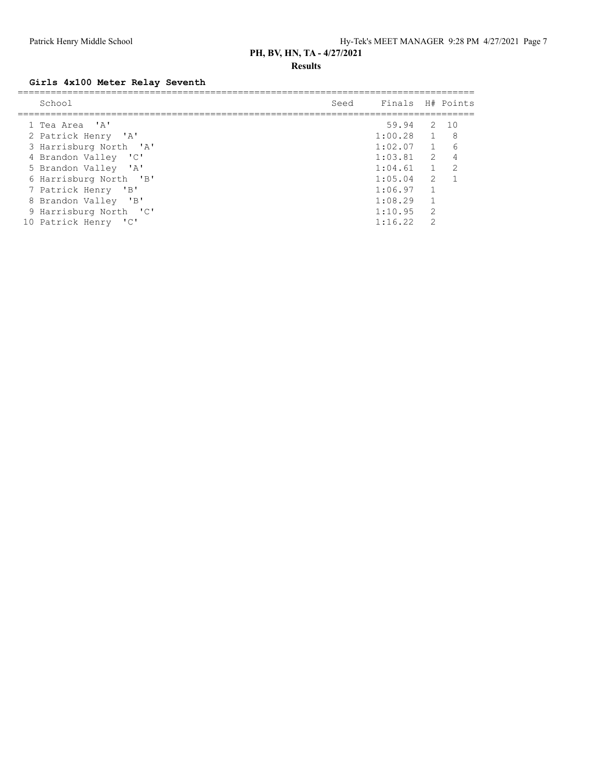### **Results**

### **Girls 4x100 Meter Relay Seventh**

| School                 | Seed | Finals H# Points |                |     |
|------------------------|------|------------------|----------------|-----|
|                        |      |                  |                |     |
| 1 Tea Area 'A'         |      | 59.94 2 10       |                |     |
| 2 Patrick Henry 'A'    |      | $1:00.28$ 1      |                | - 8 |
| 3 Harrisburg North 'A' |      | 1:02.07          | 1              | 6   |
| 4 Brandon Valley 'C'   |      | $1:03.81$ 2      |                |     |
| 5 Brandon Valley 'A'   |      | 1:04.61          | $\sim$ 1       | 2   |
| 6 Harrisburg North 'B' |      | 1:05.04          | $\overline{2}$ |     |
| 7 Patrick Henry 'B'    |      | 1:06.97          |                |     |
| 8 Brandon Valley 'B'   |      | 1:08.29          |                |     |
| 9 Harrisburg North 'C' |      | 1:10.95          | 2              |     |
| 10 Patrick Henry 'C'   |      | 1:16.22          | $\mathcal{P}$  |     |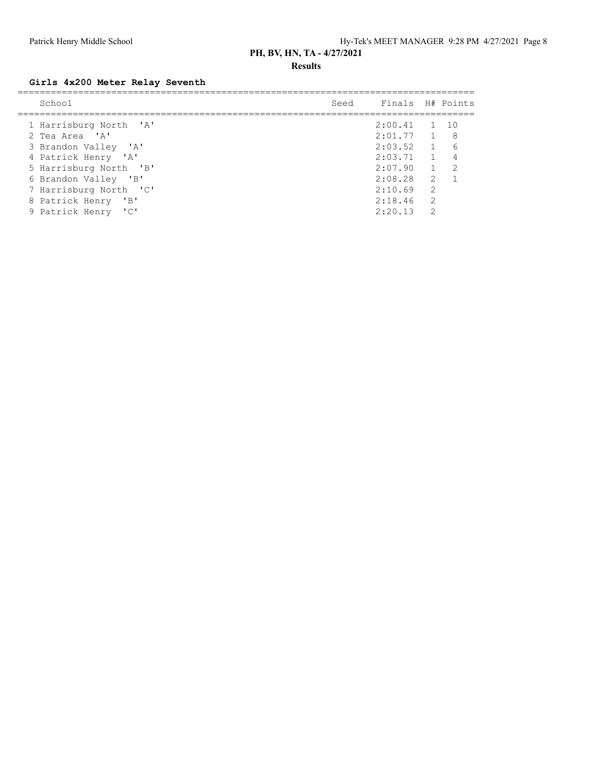### **Results**

### **Girls 4x200 Meter Relay Seventh**

| School                 | Seed Finals H# Points     |               |  |
|------------------------|---------------------------|---------------|--|
| 1 Harrisburg North 'A' | $2:00.41$ 1 10            |               |  |
| 2 Tea Area 'A'         | $2:01.77$ 1 8             |               |  |
| 3 Brandon Valley 'A'   | $2:03.52$ 1 6             |               |  |
| 4 Patrick Henry 'A'    | $2:03.71 \quad 1 \quad 4$ |               |  |
| 5 Harrisburg North 'B' | 2:07.90 1 2               |               |  |
| 6 Brandon Valley 'B'   | $2:08.28$ 2               |               |  |
| 7 Harrisburg North 'C' | 2:10.69                   | 2             |  |
| 8 Patrick Henry 'B'    | 2:18.46                   | -2            |  |
| 9 Patrick Henry 'C'    | 2:20.13                   | $\mathcal{D}$ |  |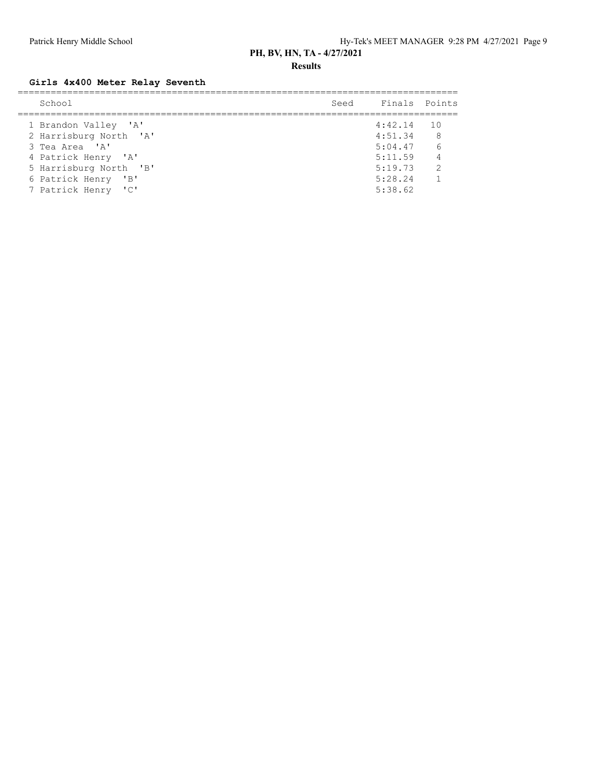**Results**

### **Girls 4x400 Meter Relay Seventh**

| School                 | Seed Finals Points |                |
|------------------------|--------------------|----------------|
| 1 Brandon Valley 'A'   | $4:42.14$ 10       |                |
| 2 Harrisburg North 'A' | 4:51.34            | 8              |
| 3 Tea Area 'A'         | $5:04.47$ 6        |                |
| 4 Patrick Henry 'A'    | 5:11.59            | $\overline{4}$ |
| 5 Harrisburg North 'B' | 5:19.73            | $\overline{2}$ |
| 6 Patrick Henry 'B'    | 5:28.24            | $\sim$ 1       |
| 7 Patrick Henry 'C'    | 5:38.62            |                |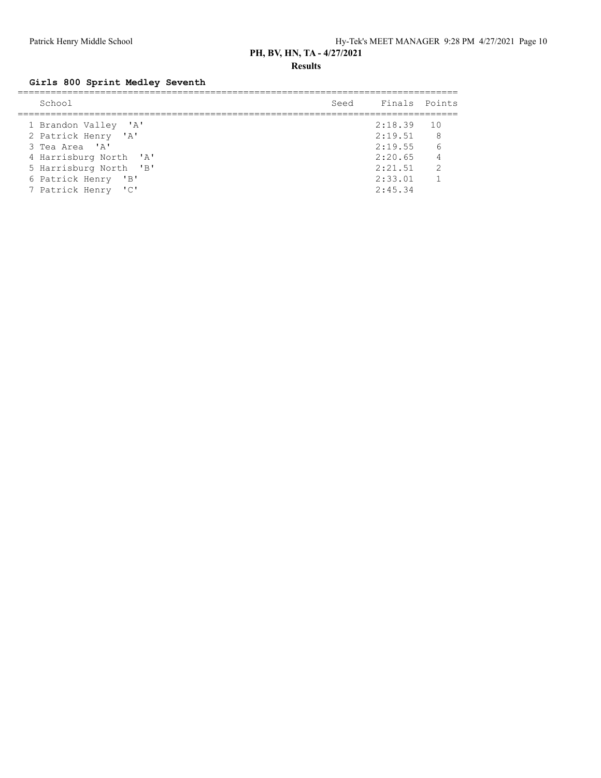**Results**

## **Girls 800 Sprint Medley Seventh**

| School                 | Seed Finals Points |                |
|------------------------|--------------------|----------------|
| 1 Brandon Valley 'A'   | $2:18.39$ 10       |                |
| 2 Patrick Henry 'A'    | $2:19.51$ 8        |                |
| 3 Tea Area 'A'         | $2:19.55$ 6        |                |
| 4 Harrisburg North 'A' | $2:20.65$ 4        |                |
| 5 Harrisburg North 'B' | 2:21.51            | $\overline{2}$ |
| 6 Patrick Henry 'B'    | 2:33.01            | $\sim$ 1       |
| 7 Patrick Henry 'C'    | 2:45.34            |                |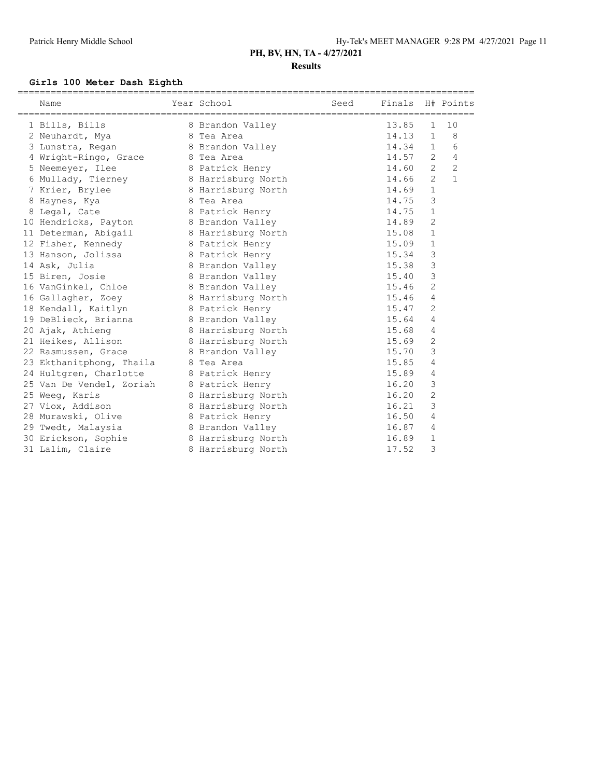### **Girls 100 Meter Dash Eighth**

| ==========================<br>Name | Year School        | Seed | Finals H# Points |                |                |
|------------------------------------|--------------------|------|------------------|----------------|----------------|
| 1 Bills, Bills                     | 8 Brandon Valley   |      | 13.85            | $\mathbf{1}$   | 10             |
| 2 Neuhardt, Mya                    | 8 Tea Area         |      | 14.13            | $\mathbf{1}$   | 8              |
| 3 Lunstra, Regan                   | 8 Brandon Valley   |      | 14.34            | $\mathbf{1}$   | 6              |
| 4 Wright-Ringo, Grace              | 8 Tea Area         |      | 14.57            | 2              | 4              |
| 5 Neemeyer, Ilee                   | 8 Patrick Henry    |      | 14.60            | $\overline{2}$ | $\overline{2}$ |
| 6 Mullady, Tierney                 | 8 Harrisburg North |      | 14.66            | $\overline{2}$ | $\mathbf{1}$   |
| 7 Krier, Brylee                    | 8 Harrisburg North |      | 14.69            | $\mathbf{1}$   |                |
| 8 Haynes, Kya                      | 8 Tea Area         |      | 14.75            | 3              |                |
| 8 Legal, Cate                      | 8 Patrick Henry    |      | 14.75            | $\mathbf{1}$   |                |
| 10 Hendricks, Payton               | 8 Brandon Valley   |      | 14.89            | 2              |                |
| 11 Determan, Abigail               | 8 Harrisburg North |      | 15.08            | $\mathbf{1}$   |                |
| 12 Fisher, Kennedy                 | 8 Patrick Henry    |      | 15.09            | $\mathbf{1}$   |                |
| 13 Hanson, Jolissa                 | 8 Patrick Henry    |      | 15.34            | 3              |                |
| 14 Ask, Julia                      | 8 Brandon Valley   |      | 15.38            | 3              |                |
| 15 Biren, Josie                    | 8 Brandon Valley   |      | 15.40            | 3              |                |
| 16 VanGinkel, Chloe                | 8 Brandon Valley   |      | 15.46            | 2              |                |
| 16 Gallagher, Zoey                 | 8 Harrisburg North |      | 15.46            | 4              |                |
| 18 Kendall, Kaitlyn                | 8 Patrick Henry    |      | 15.47            | 2              |                |
| 19 DeBlieck, Brianna               | 8 Brandon Valley   |      | 15.64            | 4              |                |
| 20 Ajak, Athieng                   | 8 Harrisburg North |      | 15.68            | 4              |                |
| 21 Heikes, Allison                 | 8 Harrisburg North |      | 15.69            | $\mathbf{2}$   |                |
| 22 Rasmussen, Grace                | 8 Brandon Valley   |      | 15.70            | 3              |                |
| 23 Ekthanitphong, Thaila           | 8 Tea Area         |      | 15.85            | 4              |                |
| 24 Hultgren, Charlotte             | 8 Patrick Henry    |      | 15.89            | 4              |                |
| 25 Van De Vendel, Zoriah           | 8 Patrick Henry    |      | 16.20            | 3              |                |
| 25 Weeq, Karis                     | 8 Harrisburg North |      | 16.20            | $\overline{c}$ |                |
| 27 Viox, Addison                   | 8 Harrisburg North |      | 16.21            | 3              |                |
| 28 Murawski, Olive                 | 8 Patrick Henry    |      | 16.50            | 4              |                |
| 29 Twedt, Malaysia                 | 8 Brandon Valley   |      | 16.87            | 4              |                |
| 30 Erickson, Sophie                | 8 Harrisburg North |      | 16.89            | $\mathbf 1$    |                |
| 31 Lalim, Claire                   | 8 Harrisburg North |      | 17.52            | 3              |                |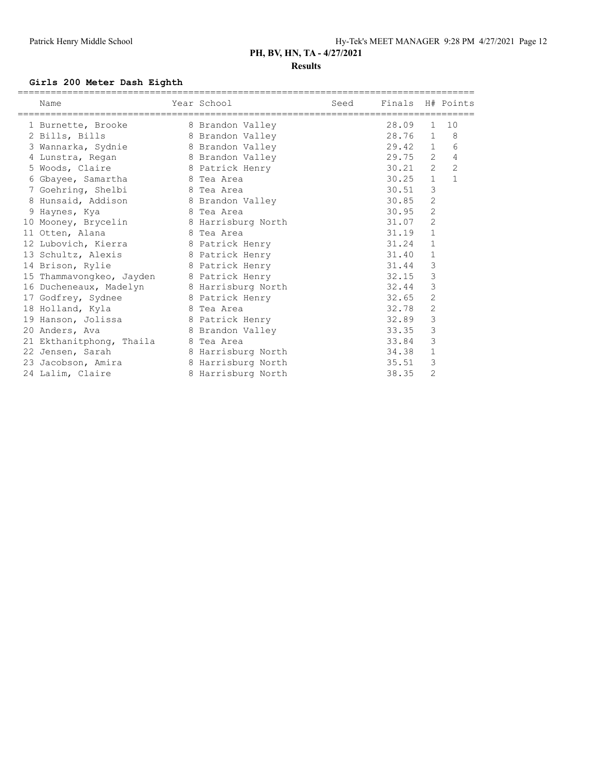### **Girls 200 Meter Dash Eighth**

| Name                                      | Year School<br>===================================== | Seed | Finals H# Points |                |                |
|-------------------------------------------|------------------------------------------------------|------|------------------|----------------|----------------|
| 1 Burnette, Brooke                        | 8 Brandon Valley                                     |      | 28.09            | $\mathbf{1}$   | 10             |
| 2 Bills, Bills                            | 8 Brandon Valley                                     |      | 28.76            | $\mathbf{1}$   | $_{\rm 8}$     |
| 3 Wannarka, Sydnie 18 Brandon Valley      |                                                      |      | 29.42 1          |                | 6              |
| 4 Lunstra, Regan 8 Brandon Valley         |                                                      |      | 29.75            | 2              | 4              |
| 5 Woods, Claire 6 8 Patrick Henry         |                                                      |      | 30.21            | $\overline{2}$ | $\overline{c}$ |
| 6 Gbayee, Samartha 6 Tea Area             |                                                      |      | 30.25            | $\mathbf{1}$   | $\mathbf{1}$   |
| 7 Goehring, Shelbi 8 Tea Area             |                                                      |      | 30.51            | 3              |                |
| 8 Hunsaid, Addison 8 Brandon Valley       |                                                      |      | 30.85            | $\overline{2}$ |                |
| 9 Haynes, Kya                             | 8 Tea Area                                           |      | 30.95            | 2              |                |
| 10 Mooney, Brycelin 8 Harrisburg North    |                                                      |      | 31.07            | $\overline{2}$ |                |
| 11 Otten, Alana                           | 8 Tea Area                                           |      | 31.19            | $\mathbf{1}$   |                |
| 12 Lubovich, Kierra 18 Patrick Henry      |                                                      |      | 31.24            | $\mathbf{1}$   |                |
| 13 Schultz, Alexis 8 Patrick Henry        |                                                      |      | 31.40            | 1              |                |
| 14 Brison, Rylie                          | 8 Patrick Henry                                      |      | 31.44            | 3              |                |
| 15 Thammavongkeo, Jayden 8 Patrick Henry  |                                                      |      | 32.15            | 3              |                |
| 16 Ducheneaux, Madelyn 8 Harrisburg North |                                                      |      | 32.44            | 3              |                |
| 17 Godfrey, Sydnee 17 8 Patrick Henry     |                                                      |      | 32.65            | 2              |                |
| 18 Holland, Kyla<br>8 Tea Area            |                                                      |      | 32.78            | $\overline{c}$ |                |
| 19 Hanson, Jolissa 6 Batrick Henry        |                                                      |      | 32.89            | 3              |                |
| 20 Anders, Ava                            | 8 Brandon Valley                                     |      | 33.35            | 3              |                |
| 21 Ekthanitphong, Thaila 8 Tea Area       |                                                      |      | 33.84            | 3              |                |
| 22 Jensen, Sarah                          | 8 Harrisburg North                                   |      | 34.38            | $\mathbf{1}$   |                |
| 23 Jacobson, Amira                        | 8 Harrisburg North                                   |      | 35.51            | 3              |                |
| 24 Lalim, Claire                          | 8 Harrisburg North                                   |      | 38.35            | $\overline{c}$ |                |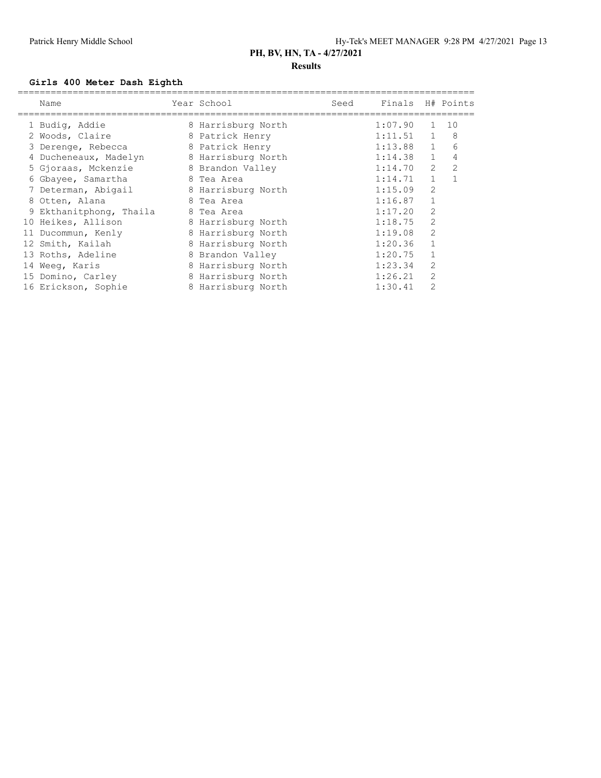### **Girls 400 Meter Dash Eighth**

|    | Name                    | Year School        | Seed | Finals H# Points |                |                |
|----|-------------------------|--------------------|------|------------------|----------------|----------------|
|    | 1 Budig, Addie          | 8 Harrisburg North |      | 1:07.90          | 1              | 10             |
|    | 2 Woods, Claire         | 8 Patrick Henry    |      | 1:11.51          | $\mathbf{1}$   | 8              |
|    | 3 Derenge, Rebecca      | 8 Patrick Henry    |      | $1:13.88$ 1      |                | 6              |
|    | 4 Ducheneaux, Madelyn   | 8 Harrisburg North |      | 1:14.38          | $\mathbf{1}$   | 4              |
|    | 5 Gjoraas, Mckenzie     | 8 Brandon Valley   |      | 1:14.70          | $\overline{2}$ | $\overline{2}$ |
|    | 6 Gbayee, Samartha      | 8 Tea Area         |      | 1:14.71          | $\mathbf{1}$   |                |
|    | 7 Determan, Abigail     | 8 Harrisburg North |      | 1:15.09          | $\overline{2}$ |                |
|    | 8 Otten, Alana          | 8 Tea Area         |      | 1:16.87          |                |                |
|    | 9 Ekthanitphong, Thaila | 8 Tea Area         |      | 1:17.20          | $\overline{2}$ |                |
|    | 10 Heikes, Allison      | 8 Harrisburg North |      | 1:18.75          | $\overline{2}$ |                |
| 11 | Ducommun, Kenly         | 8 Harrisburg North |      | 1:19.08          | $\overline{2}$ |                |
|    | 12 Smith, Kailah        | 8 Harrisburg North |      | 1:20.36          |                |                |
|    | 13 Roths, Adeline       | 8 Brandon Valley   |      | 1:20.75          |                |                |
|    | 14 Weeq, Karis          | 8 Harrisburg North |      | 1:23.34          | $\overline{2}$ |                |
|    | 15 Domino, Carley       | 8 Harrisburg North |      | 1:26.21          | $\overline{2}$ |                |
|    | 16 Erickson, Sophie     | 8 Harrisburg North |      | 1:30.41          | 2              |                |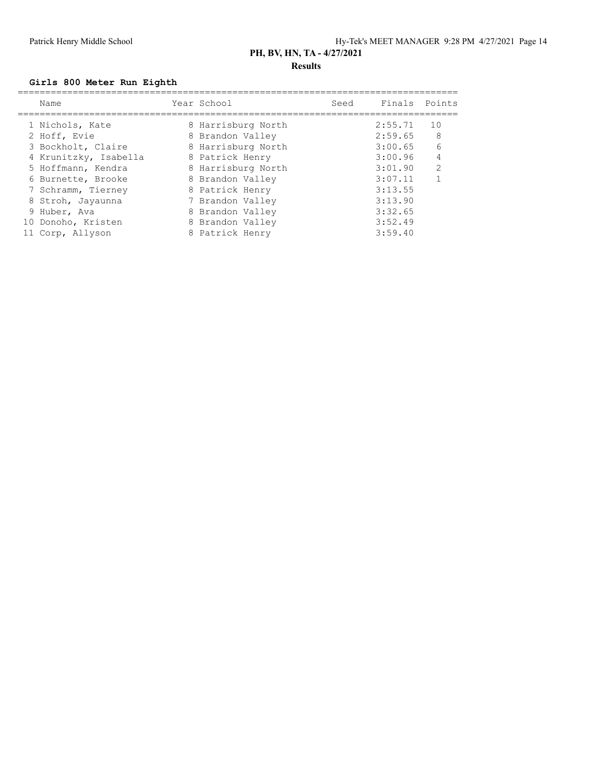### **Girls 800 Meter Run Eighth**

| Name                  | Year School        | Seed | Finals  | Points |
|-----------------------|--------------------|------|---------|--------|
| 1 Nichols, Kate       | 8 Harrisburg North |      | 2:55.71 | 10     |
| 2 Hoff, Evie          | 8 Brandon Valley   |      | 2:59.65 | - 8    |
| 3 Bockholt, Claire    | 8 Harrisburg North |      | 3:00.65 | 6      |
| 4 Krunitzky, Isabella | 8 Patrick Henry    |      | 3:00.96 | 4      |
| 5 Hoffmann, Kendra    | 8 Harrisburg North |      | 3:01.90 | 2      |
| 6 Burnette, Brooke    | 8 Brandon Valley   |      | 3:07.11 |        |
| 7 Schramm, Tierney    | 8 Patrick Henry    |      | 3:13.55 |        |
| 8 Stroh, Jayaunna     | 7 Brandon Valley   |      | 3:13.90 |        |
| 9 Huber, Ava          | 8 Brandon Valley   |      | 3:32.65 |        |
| 10 Donoho, Kristen    | 8 Brandon Valley   |      | 3:52.49 |        |
| 11 Corp, Allyson      | 8 Patrick Henry    |      | 3:59.40 |        |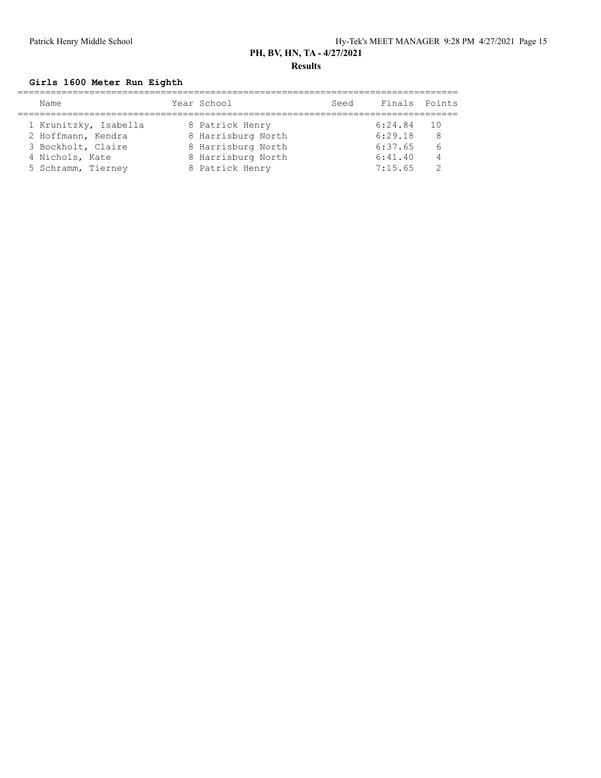### **Girls 1600 Meter Run Eighth**

| Name                  |  | Seed                                                                                                                |         |                |
|-----------------------|--|---------------------------------------------------------------------------------------------------------------------|---------|----------------|
|                       |  |                                                                                                                     |         |                |
| 1 Krunitzky, Isabella |  |                                                                                                                     | 6:24.84 | - 10           |
| 2 Hoffmann, Kendra    |  |                                                                                                                     | 6:29.18 | 8              |
| 3 Bockholt, Claire    |  |                                                                                                                     | 6:37.65 | -6             |
| 4 Nichols, Kate       |  |                                                                                                                     | 6:41.40 | $\overline{4}$ |
| 5 Schramm, Tierney    |  |                                                                                                                     | 7:15.65 |                |
|                       |  | Year School<br>8 Patrick Henry<br>8 Harrisburg North<br>8 Harrisburg North<br>8 Harrisburg North<br>8 Patrick Henry |         | Finals Points  |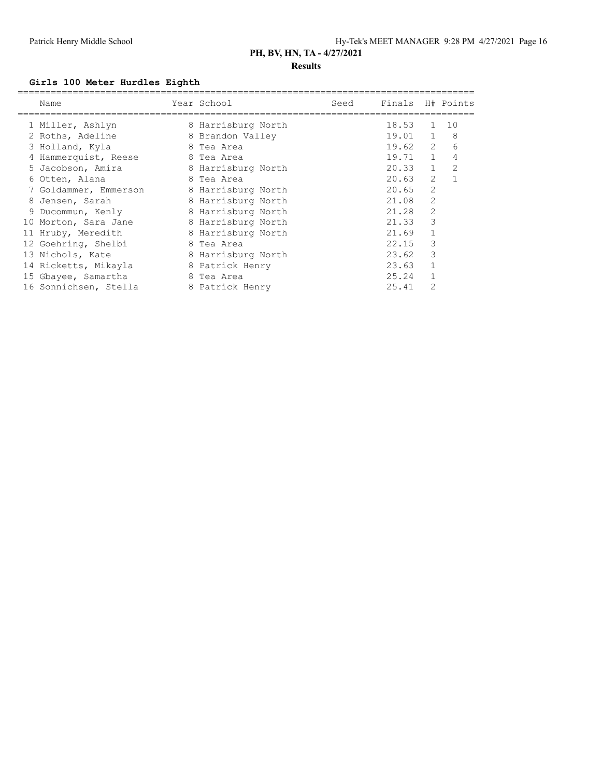### **Results**

### **Girls 100 Meter Hurdles Eighth**

| Name                  | Year School        | Seed | Finals H# Points |                |              |
|-----------------------|--------------------|------|------------------|----------------|--------------|
| 1 Miller, Ashlyn      | 8 Harrisburg North |      | 18.53            | 1              | 10           |
| 2 Roths, Adeline      | 8 Brandon Valley   |      | $19.01 \quad 1$  |                | -8           |
| 3 Holland, Kyla       | 8 Tea Area         |      | 19.62 2          |                | 6            |
| 4 Hammerquist, Reese  | 8 Tea Area         |      | $19.71$ 1        |                | 4            |
| 5 Jacobson, Amira     | 8 Harrisburg North |      | 20.33            | 1              | 2            |
| 6 Otten, Alana        | 8 Tea Area         |      | 20.63            | 2              | $\mathbf{1}$ |
| 7 Goldammer, Emmerson | 8 Harrisburg North |      | 20.65            | 2              |              |
| 8 Jensen, Sarah       | 8 Harrisburg North |      | 21.08            | $\overline{2}$ |              |
| 9 Ducommun, Kenly     | 8 Harrisburg North |      | 21.28            | $\overline{2}$ |              |
| 10 Morton, Sara Jane  | 8 Harrisburg North |      | 21.33            | 3              |              |
| 11 Hruby, Meredith    | 8 Harrisburg North |      | 21.69            | $\mathbf{1}$   |              |
| 12 Goehring, Shelbi   | 8 Tea Area         |      | 22.15            | 3              |              |
| 13 Nichols, Kate      | 8 Harrisburg North |      | 23.62            | 3              |              |
| 14 Ricketts, Mikayla  | 8 Patrick Henry    |      | 23.63            | $\mathbf{1}$   |              |
| 15 Gbayee, Samartha   | 8 Tea Area         |      | 25.24            |                |              |
| 16 Sonnichsen, Stella | 8 Patrick Henry    |      | 25.41            | $\mathcal{D}$  |              |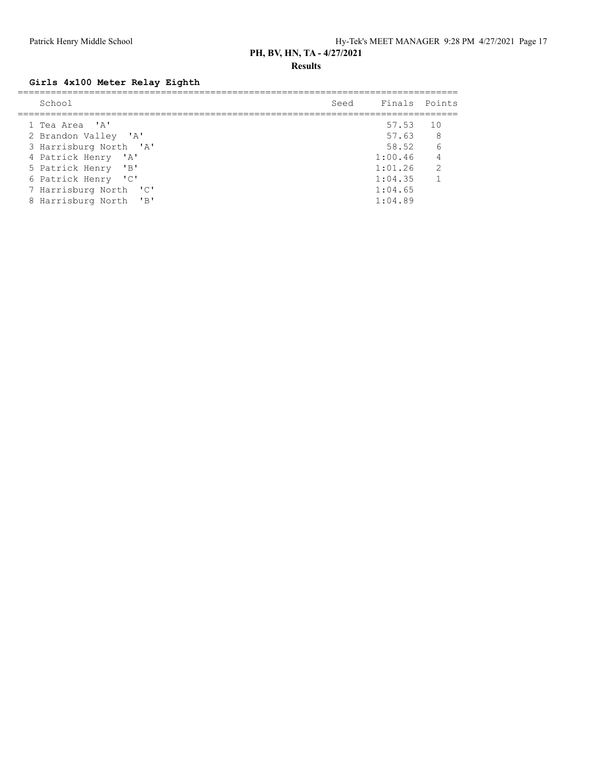**Results**

### **Girls 4x100 Meter Relay Eighth**

| School                 | Seed Finals Points |                |
|------------------------|--------------------|----------------|
|                        |                    |                |
| 1 Tea Area 'A'         | 57.53 10           |                |
| 2 Brandon Valley 'A'   | 57.63 8            |                |
| 3 Harrisburg North 'A' | 58.52 6            |                |
| 4 Patrick Henry 'A'    | 1:00.46            | $\overline{4}$ |
| 5 Patrick Henry 'B'    | 1:01.26            | $\overline{2}$ |
| 6 Patrick Henry 'C'    | 1:04.35            |                |
| 7 Harrisburg North 'C' | 1:04.65            |                |
| 8 Harrisburg North 'B' | 1:04.89            |                |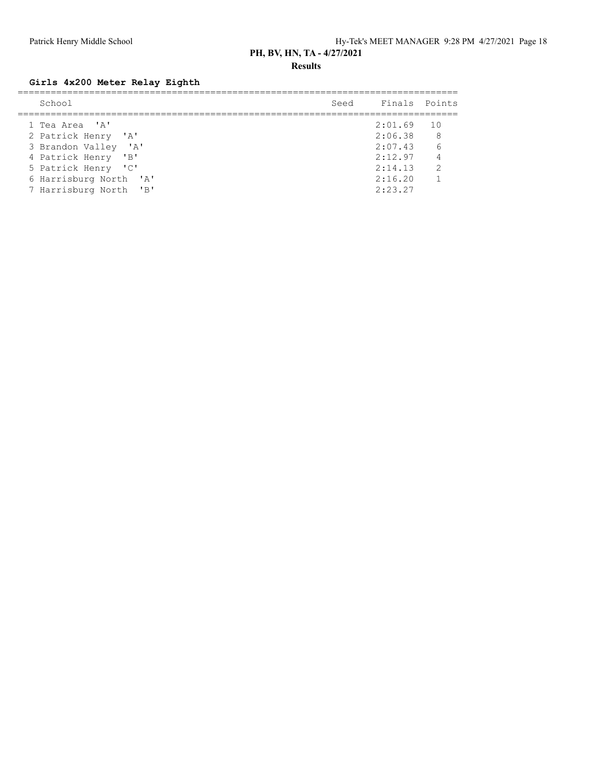**Results**

### **Girls 4x200 Meter Relay Eighth**

| School                                           | Seed Finals Points      |                       |
|--------------------------------------------------|-------------------------|-----------------------|
| 1 Tea Area 'A'<br>2 Patrick Henry 'A'            | $2:01.69$ 10<br>2:06.38 | 8 <sup>8</sup>        |
| 3 Brandon Valley 'A'                             | 2:07.43                 | 6                     |
| 4 Patrick Henry 'B'<br>5 Patrick Henry 'C'       | 2:12.97<br>2:14.13      | $\overline{4}$<br>- 2 |
| 6 Harrisburg North 'A'<br>7 Harrisburg North 'B' | 2:16.20<br>2:23.27      | $\overline{1}$        |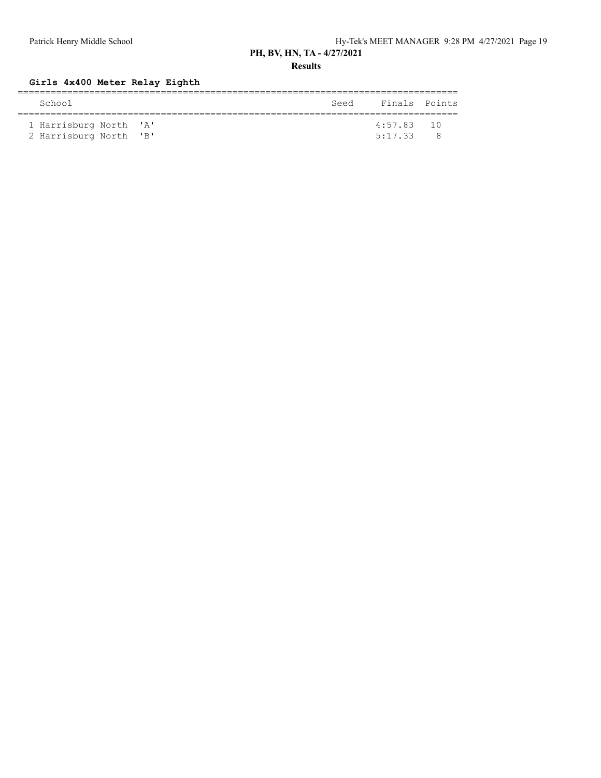**Results**

### **Girls 4x400 Meter Relay Eighth**

| School                 | Seed | Finals Points |  |
|------------------------|------|---------------|--|
|                        |      |               |  |
| 1 Harrisburg North 'A' |      | $4:57.83$ 10  |  |
| 2 Harrisburg North 'B' |      | 5:17.33       |  |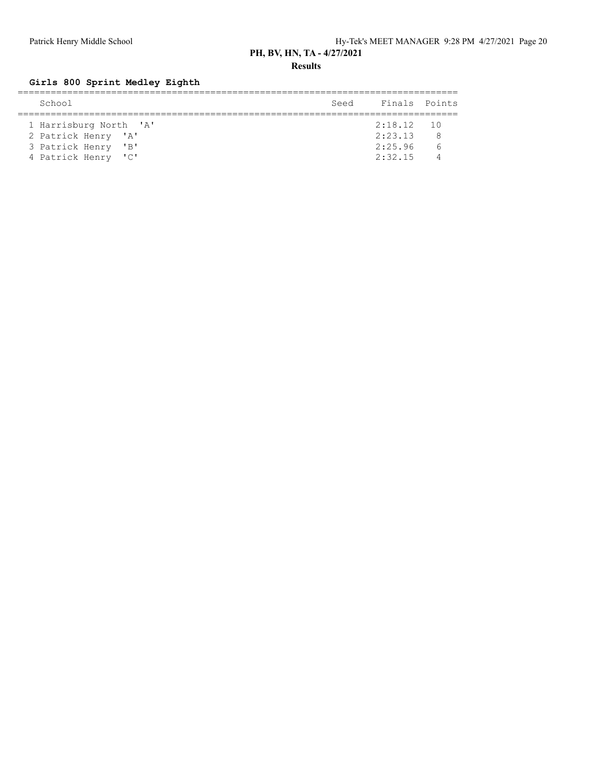**Results**

# **Girls 800 Sprint Medley Eighth**

| School                 | Seed | Finals Points |  |
|------------------------|------|---------------|--|
|                        |      |               |  |
| 1 Harrisburg North 'A' |      | $2:18.12$ 10  |  |
| 2 Patrick Henry 'A'    |      | 2:23.13       |  |
| 3 Patrick Henry 'B'    |      | 2:25.96       |  |
| 4 Patrick Henry 'C'    |      | 2:32.15       |  |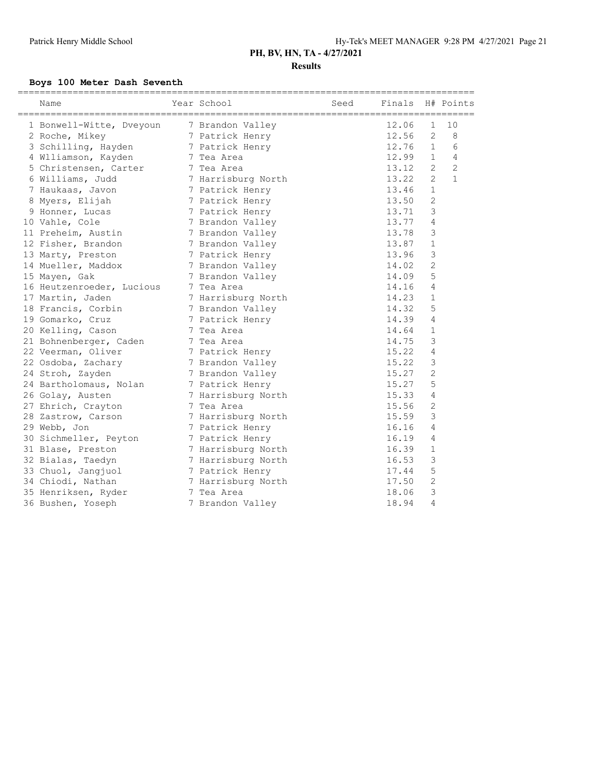### **Results**

### **Boys 100 Meter Dash Seventh**

| 12.06<br>$\mathbf{1}$<br>10<br>1 Bonwell-Witte, Dveyoun<br>7 Brandon Valley<br>12.56<br>2<br>8<br>2 Roche, Mikey<br>7 Patrick Henry<br>6<br>12.76<br>$\mathbf{1}$<br>3 Schilling, Hayden<br>7 Patrick Henry<br>4 Wlliamson, Kayden<br>12.99<br>$\mathbf{1}$<br>4<br>7 Tea Area<br>$\overline{2}$<br>$\overline{2}$<br>13.12<br>5 Christensen, Carter<br>7 Tea Area<br>$\overline{2}$<br>$\mathbf{1}$<br>13.22<br>6 Williams, Judd<br>7 Harrisburg North<br>$\mathbf{1}$<br>13.46<br>7 Haukaas, Javon<br>7 Patrick Henry<br>$\mathbf{2}$<br>13.50<br>8 Myers, Elijah<br>7 Patrick Henry<br>3<br>13.71<br>9 Honner, Lucas<br>7 Patrick Henry<br>10 Vahle, Cole<br>13.77<br>4<br>7 Brandon Valley<br>3<br>13.78<br>11 Preheim, Austin<br>7 Brandon Valley<br>13.87<br>$\mathbf{1}$<br>12 Fisher, Brandon<br>7 Brandon Valley<br>3<br>13.96<br>13 Marty, Preston<br>7 Patrick Henry<br>2<br>14 Mueller, Maddox<br>14.02<br>7 Brandon Valley<br>5<br>14.09<br>15 Mayen, Gak<br>7 Brandon Valley<br>$\overline{4}$<br>7 Tea Area<br>14.16<br>16 Heutzenroeder, Lucious<br>14.23<br>$\mathbf{1}$<br>17 Martin, Jaden<br>7 Harrisburg North<br>5<br>14.32<br>18 Francis, Corbin<br>7 Brandon Valley<br>4<br>14.39<br>19 Gomarko, Cruz<br>7 Patrick Henry<br>14.64<br>$\mathbf{1}$<br>20 Kelling, Cason<br>7 Tea Area<br>3<br>14.75<br>21 Bohnenberger, Caden<br>7 Tea Area<br>15.22<br>$\overline{4}$<br>22 Veerman, Oliver<br>7 Patrick Henry<br>3<br>22 Osdoba, Zachary<br>15.22<br>7 Brandon Valley<br>$\mathbf{2}$<br>15.27<br>24 Stroh, Zayden<br>7 Brandon Valley<br>5<br>15.27<br>24 Bartholomaus, Nolan<br>7 Patrick Henry<br>15.33<br>4<br>26 Golay, Austen<br>7 Harrisburg North<br>$\mathbf{2}$<br>15.56<br>27 Ehrich, Crayton<br>7 Tea Area<br>3<br>15.59<br>28 Zastrow, Carson<br>7 Harrisburg North<br>$\overline{4}$<br>16.16<br>29 Webb, Jon<br>7 Patrick Henry<br>16.19<br>4<br>30 Sichmeller, Peyton<br>7 Patrick Henry<br>16.39<br>$\mathbf{1}$<br>31 Blase, Preston<br>7 Harrisburg North<br>3<br>16.53<br>32 Bialas, Taedyn<br>7 Harrisburg North<br>5<br>33 Chuol, Jangjuol<br>17.44<br>7 Patrick Henry<br>$\overline{c}$<br>17.50<br>34 Chiodi, Nathan<br>7 Harrisburg North<br>3<br>35 Henriksen, Ryder<br>7 Tea Area<br>18.06<br>36 Bushen, Yoseph | ==========<br>Name | Year School      | Seed | Finals |   | H# Points |
|---------------------------------------------------------------------------------------------------------------------------------------------------------------------------------------------------------------------------------------------------------------------------------------------------------------------------------------------------------------------------------------------------------------------------------------------------------------------------------------------------------------------------------------------------------------------------------------------------------------------------------------------------------------------------------------------------------------------------------------------------------------------------------------------------------------------------------------------------------------------------------------------------------------------------------------------------------------------------------------------------------------------------------------------------------------------------------------------------------------------------------------------------------------------------------------------------------------------------------------------------------------------------------------------------------------------------------------------------------------------------------------------------------------------------------------------------------------------------------------------------------------------------------------------------------------------------------------------------------------------------------------------------------------------------------------------------------------------------------------------------------------------------------------------------------------------------------------------------------------------------------------------------------------------------------------------------------------------------------------------------------------------------------------------------------------------------------------------------------------------------------------------------------------------------------------------------------------------------------------------------------------------|--------------------|------------------|------|--------|---|-----------|
|                                                                                                                                                                                                                                                                                                                                                                                                                                                                                                                                                                                                                                                                                                                                                                                                                                                                                                                                                                                                                                                                                                                                                                                                                                                                                                                                                                                                                                                                                                                                                                                                                                                                                                                                                                                                                                                                                                                                                                                                                                                                                                                                                                                                                                                                     |                    |                  |      |        |   |           |
|                                                                                                                                                                                                                                                                                                                                                                                                                                                                                                                                                                                                                                                                                                                                                                                                                                                                                                                                                                                                                                                                                                                                                                                                                                                                                                                                                                                                                                                                                                                                                                                                                                                                                                                                                                                                                                                                                                                                                                                                                                                                                                                                                                                                                                                                     |                    |                  |      |        |   |           |
|                                                                                                                                                                                                                                                                                                                                                                                                                                                                                                                                                                                                                                                                                                                                                                                                                                                                                                                                                                                                                                                                                                                                                                                                                                                                                                                                                                                                                                                                                                                                                                                                                                                                                                                                                                                                                                                                                                                                                                                                                                                                                                                                                                                                                                                                     |                    |                  |      |        |   |           |
|                                                                                                                                                                                                                                                                                                                                                                                                                                                                                                                                                                                                                                                                                                                                                                                                                                                                                                                                                                                                                                                                                                                                                                                                                                                                                                                                                                                                                                                                                                                                                                                                                                                                                                                                                                                                                                                                                                                                                                                                                                                                                                                                                                                                                                                                     |                    |                  |      |        |   |           |
|                                                                                                                                                                                                                                                                                                                                                                                                                                                                                                                                                                                                                                                                                                                                                                                                                                                                                                                                                                                                                                                                                                                                                                                                                                                                                                                                                                                                                                                                                                                                                                                                                                                                                                                                                                                                                                                                                                                                                                                                                                                                                                                                                                                                                                                                     |                    |                  |      |        |   |           |
|                                                                                                                                                                                                                                                                                                                                                                                                                                                                                                                                                                                                                                                                                                                                                                                                                                                                                                                                                                                                                                                                                                                                                                                                                                                                                                                                                                                                                                                                                                                                                                                                                                                                                                                                                                                                                                                                                                                                                                                                                                                                                                                                                                                                                                                                     |                    |                  |      |        |   |           |
|                                                                                                                                                                                                                                                                                                                                                                                                                                                                                                                                                                                                                                                                                                                                                                                                                                                                                                                                                                                                                                                                                                                                                                                                                                                                                                                                                                                                                                                                                                                                                                                                                                                                                                                                                                                                                                                                                                                                                                                                                                                                                                                                                                                                                                                                     |                    |                  |      |        |   |           |
|                                                                                                                                                                                                                                                                                                                                                                                                                                                                                                                                                                                                                                                                                                                                                                                                                                                                                                                                                                                                                                                                                                                                                                                                                                                                                                                                                                                                                                                                                                                                                                                                                                                                                                                                                                                                                                                                                                                                                                                                                                                                                                                                                                                                                                                                     |                    |                  |      |        |   |           |
|                                                                                                                                                                                                                                                                                                                                                                                                                                                                                                                                                                                                                                                                                                                                                                                                                                                                                                                                                                                                                                                                                                                                                                                                                                                                                                                                                                                                                                                                                                                                                                                                                                                                                                                                                                                                                                                                                                                                                                                                                                                                                                                                                                                                                                                                     |                    |                  |      |        |   |           |
|                                                                                                                                                                                                                                                                                                                                                                                                                                                                                                                                                                                                                                                                                                                                                                                                                                                                                                                                                                                                                                                                                                                                                                                                                                                                                                                                                                                                                                                                                                                                                                                                                                                                                                                                                                                                                                                                                                                                                                                                                                                                                                                                                                                                                                                                     |                    |                  |      |        |   |           |
|                                                                                                                                                                                                                                                                                                                                                                                                                                                                                                                                                                                                                                                                                                                                                                                                                                                                                                                                                                                                                                                                                                                                                                                                                                                                                                                                                                                                                                                                                                                                                                                                                                                                                                                                                                                                                                                                                                                                                                                                                                                                                                                                                                                                                                                                     |                    |                  |      |        |   |           |
|                                                                                                                                                                                                                                                                                                                                                                                                                                                                                                                                                                                                                                                                                                                                                                                                                                                                                                                                                                                                                                                                                                                                                                                                                                                                                                                                                                                                                                                                                                                                                                                                                                                                                                                                                                                                                                                                                                                                                                                                                                                                                                                                                                                                                                                                     |                    |                  |      |        |   |           |
|                                                                                                                                                                                                                                                                                                                                                                                                                                                                                                                                                                                                                                                                                                                                                                                                                                                                                                                                                                                                                                                                                                                                                                                                                                                                                                                                                                                                                                                                                                                                                                                                                                                                                                                                                                                                                                                                                                                                                                                                                                                                                                                                                                                                                                                                     |                    |                  |      |        |   |           |
|                                                                                                                                                                                                                                                                                                                                                                                                                                                                                                                                                                                                                                                                                                                                                                                                                                                                                                                                                                                                                                                                                                                                                                                                                                                                                                                                                                                                                                                                                                                                                                                                                                                                                                                                                                                                                                                                                                                                                                                                                                                                                                                                                                                                                                                                     |                    |                  |      |        |   |           |
|                                                                                                                                                                                                                                                                                                                                                                                                                                                                                                                                                                                                                                                                                                                                                                                                                                                                                                                                                                                                                                                                                                                                                                                                                                                                                                                                                                                                                                                                                                                                                                                                                                                                                                                                                                                                                                                                                                                                                                                                                                                                                                                                                                                                                                                                     |                    |                  |      |        |   |           |
|                                                                                                                                                                                                                                                                                                                                                                                                                                                                                                                                                                                                                                                                                                                                                                                                                                                                                                                                                                                                                                                                                                                                                                                                                                                                                                                                                                                                                                                                                                                                                                                                                                                                                                                                                                                                                                                                                                                                                                                                                                                                                                                                                                                                                                                                     |                    |                  |      |        |   |           |
|                                                                                                                                                                                                                                                                                                                                                                                                                                                                                                                                                                                                                                                                                                                                                                                                                                                                                                                                                                                                                                                                                                                                                                                                                                                                                                                                                                                                                                                                                                                                                                                                                                                                                                                                                                                                                                                                                                                                                                                                                                                                                                                                                                                                                                                                     |                    |                  |      |        |   |           |
|                                                                                                                                                                                                                                                                                                                                                                                                                                                                                                                                                                                                                                                                                                                                                                                                                                                                                                                                                                                                                                                                                                                                                                                                                                                                                                                                                                                                                                                                                                                                                                                                                                                                                                                                                                                                                                                                                                                                                                                                                                                                                                                                                                                                                                                                     |                    |                  |      |        |   |           |
|                                                                                                                                                                                                                                                                                                                                                                                                                                                                                                                                                                                                                                                                                                                                                                                                                                                                                                                                                                                                                                                                                                                                                                                                                                                                                                                                                                                                                                                                                                                                                                                                                                                                                                                                                                                                                                                                                                                                                                                                                                                                                                                                                                                                                                                                     |                    |                  |      |        |   |           |
|                                                                                                                                                                                                                                                                                                                                                                                                                                                                                                                                                                                                                                                                                                                                                                                                                                                                                                                                                                                                                                                                                                                                                                                                                                                                                                                                                                                                                                                                                                                                                                                                                                                                                                                                                                                                                                                                                                                                                                                                                                                                                                                                                                                                                                                                     |                    |                  |      |        |   |           |
|                                                                                                                                                                                                                                                                                                                                                                                                                                                                                                                                                                                                                                                                                                                                                                                                                                                                                                                                                                                                                                                                                                                                                                                                                                                                                                                                                                                                                                                                                                                                                                                                                                                                                                                                                                                                                                                                                                                                                                                                                                                                                                                                                                                                                                                                     |                    |                  |      |        |   |           |
|                                                                                                                                                                                                                                                                                                                                                                                                                                                                                                                                                                                                                                                                                                                                                                                                                                                                                                                                                                                                                                                                                                                                                                                                                                                                                                                                                                                                                                                                                                                                                                                                                                                                                                                                                                                                                                                                                                                                                                                                                                                                                                                                                                                                                                                                     |                    |                  |      |        |   |           |
|                                                                                                                                                                                                                                                                                                                                                                                                                                                                                                                                                                                                                                                                                                                                                                                                                                                                                                                                                                                                                                                                                                                                                                                                                                                                                                                                                                                                                                                                                                                                                                                                                                                                                                                                                                                                                                                                                                                                                                                                                                                                                                                                                                                                                                                                     |                    |                  |      |        |   |           |
|                                                                                                                                                                                                                                                                                                                                                                                                                                                                                                                                                                                                                                                                                                                                                                                                                                                                                                                                                                                                                                                                                                                                                                                                                                                                                                                                                                                                                                                                                                                                                                                                                                                                                                                                                                                                                                                                                                                                                                                                                                                                                                                                                                                                                                                                     |                    |                  |      |        |   |           |
|                                                                                                                                                                                                                                                                                                                                                                                                                                                                                                                                                                                                                                                                                                                                                                                                                                                                                                                                                                                                                                                                                                                                                                                                                                                                                                                                                                                                                                                                                                                                                                                                                                                                                                                                                                                                                                                                                                                                                                                                                                                                                                                                                                                                                                                                     |                    |                  |      |        |   |           |
|                                                                                                                                                                                                                                                                                                                                                                                                                                                                                                                                                                                                                                                                                                                                                                                                                                                                                                                                                                                                                                                                                                                                                                                                                                                                                                                                                                                                                                                                                                                                                                                                                                                                                                                                                                                                                                                                                                                                                                                                                                                                                                                                                                                                                                                                     |                    |                  |      |        |   |           |
|                                                                                                                                                                                                                                                                                                                                                                                                                                                                                                                                                                                                                                                                                                                                                                                                                                                                                                                                                                                                                                                                                                                                                                                                                                                                                                                                                                                                                                                                                                                                                                                                                                                                                                                                                                                                                                                                                                                                                                                                                                                                                                                                                                                                                                                                     |                    |                  |      |        |   |           |
|                                                                                                                                                                                                                                                                                                                                                                                                                                                                                                                                                                                                                                                                                                                                                                                                                                                                                                                                                                                                                                                                                                                                                                                                                                                                                                                                                                                                                                                                                                                                                                                                                                                                                                                                                                                                                                                                                                                                                                                                                                                                                                                                                                                                                                                                     |                    |                  |      |        |   |           |
|                                                                                                                                                                                                                                                                                                                                                                                                                                                                                                                                                                                                                                                                                                                                                                                                                                                                                                                                                                                                                                                                                                                                                                                                                                                                                                                                                                                                                                                                                                                                                                                                                                                                                                                                                                                                                                                                                                                                                                                                                                                                                                                                                                                                                                                                     |                    |                  |      |        |   |           |
|                                                                                                                                                                                                                                                                                                                                                                                                                                                                                                                                                                                                                                                                                                                                                                                                                                                                                                                                                                                                                                                                                                                                                                                                                                                                                                                                                                                                                                                                                                                                                                                                                                                                                                                                                                                                                                                                                                                                                                                                                                                                                                                                                                                                                                                                     |                    |                  |      |        |   |           |
|                                                                                                                                                                                                                                                                                                                                                                                                                                                                                                                                                                                                                                                                                                                                                                                                                                                                                                                                                                                                                                                                                                                                                                                                                                                                                                                                                                                                                                                                                                                                                                                                                                                                                                                                                                                                                                                                                                                                                                                                                                                                                                                                                                                                                                                                     |                    |                  |      |        |   |           |
|                                                                                                                                                                                                                                                                                                                                                                                                                                                                                                                                                                                                                                                                                                                                                                                                                                                                                                                                                                                                                                                                                                                                                                                                                                                                                                                                                                                                                                                                                                                                                                                                                                                                                                                                                                                                                                                                                                                                                                                                                                                                                                                                                                                                                                                                     |                    |                  |      |        |   |           |
|                                                                                                                                                                                                                                                                                                                                                                                                                                                                                                                                                                                                                                                                                                                                                                                                                                                                                                                                                                                                                                                                                                                                                                                                                                                                                                                                                                                                                                                                                                                                                                                                                                                                                                                                                                                                                                                                                                                                                                                                                                                                                                                                                                                                                                                                     |                    |                  |      |        |   |           |
|                                                                                                                                                                                                                                                                                                                                                                                                                                                                                                                                                                                                                                                                                                                                                                                                                                                                                                                                                                                                                                                                                                                                                                                                                                                                                                                                                                                                                                                                                                                                                                                                                                                                                                                                                                                                                                                                                                                                                                                                                                                                                                                                                                                                                                                                     |                    |                  |      |        |   |           |
|                                                                                                                                                                                                                                                                                                                                                                                                                                                                                                                                                                                                                                                                                                                                                                                                                                                                                                                                                                                                                                                                                                                                                                                                                                                                                                                                                                                                                                                                                                                                                                                                                                                                                                                                                                                                                                                                                                                                                                                                                                                                                                                                                                                                                                                                     |                    |                  |      |        |   |           |
|                                                                                                                                                                                                                                                                                                                                                                                                                                                                                                                                                                                                                                                                                                                                                                                                                                                                                                                                                                                                                                                                                                                                                                                                                                                                                                                                                                                                                                                                                                                                                                                                                                                                                                                                                                                                                                                                                                                                                                                                                                                                                                                                                                                                                                                                     |                    |                  |      |        |   |           |
|                                                                                                                                                                                                                                                                                                                                                                                                                                                                                                                                                                                                                                                                                                                                                                                                                                                                                                                                                                                                                                                                                                                                                                                                                                                                                                                                                                                                                                                                                                                                                                                                                                                                                                                                                                                                                                                                                                                                                                                                                                                                                                                                                                                                                                                                     |                    | 7 Brandon Valley |      | 18.94  | 4 |           |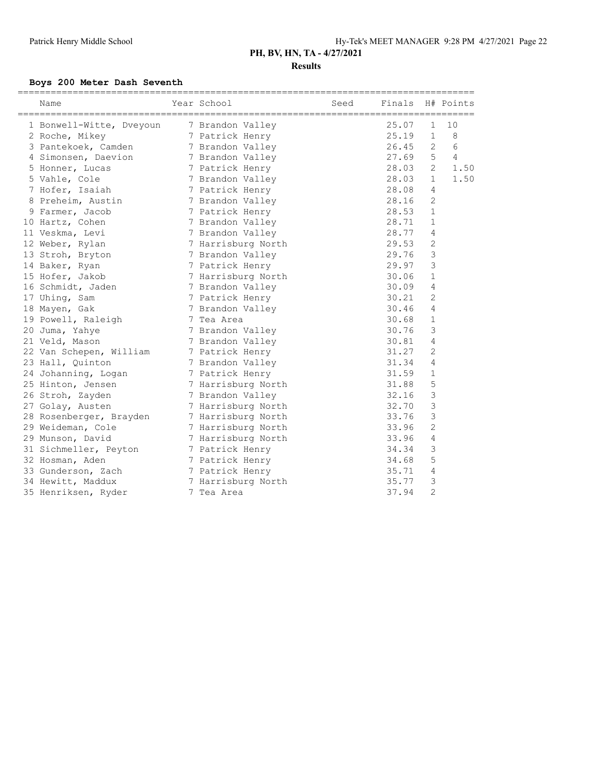### **Boys 200 Meter Dash Seventh**

| Name                     | Year School        | Seed | Finals |                | H# Points      |
|--------------------------|--------------------|------|--------|----------------|----------------|
| 1 Bonwell-Witte, Dveyoun | 7 Brandon Valley   |      | 25.07  | $\mathbf{1}$   | 10             |
| 2 Roche, Mikey           | 7 Patrick Henry    |      | 25.19  | $\mathbf{1}$   | 8              |
| 3 Pantekoek, Camden      | 7 Brandon Valley   |      | 26.45  | 2              | 6              |
| 4 Simonsen, Daevion      | 7 Brandon Valley   |      | 27.69  | 5              | $\overline{4}$ |
| 5 Honner, Lucas          | 7 Patrick Henry    |      | 28.03  | 2              | 1.50           |
| 5 Vahle, Cole            | 7 Brandon Valley   |      | 28.03  | $\mathbf 1$    | 1.50           |
| 7 Hofer, Isaiah          | 7 Patrick Henry    |      | 28.08  | 4              |                |
| 8 Preheim, Austin        | 7 Brandon Valley   |      | 28.16  | 2              |                |
| 9 Farmer, Jacob          | 7 Patrick Henry    |      | 28.53  | $\mathbf 1$    |                |
| 10 Hartz, Cohen          | 7 Brandon Valley   |      | 28.71  | 1              |                |
| 11 Veskma, Levi          | 7 Brandon Valley   |      | 28.77  | 4              |                |
| 12 Weber, Rylan          | 7 Harrisburg North |      | 29.53  | 2              |                |
| 13 Stroh, Bryton         | 7 Brandon Valley   |      | 29.76  | 3              |                |
| 14 Baker, Ryan           | 7 Patrick Henry    |      | 29.97  | 3              |                |
| 15 Hofer, Jakob          | 7 Harrisburg North |      | 30.06  | 1              |                |
| 16 Schmidt, Jaden        | 7 Brandon Valley   |      | 30.09  | 4              |                |
| 17 Uhing, Sam            | 7 Patrick Henry    |      | 30.21  | $\overline{2}$ |                |
| 18 Mayen, Gak            | 7 Brandon Valley   |      | 30.46  | 4              |                |
| 19 Powell, Raleigh       | 7 Tea Area         |      | 30.68  | 1              |                |
| 20 Juma, Yahye           | 7 Brandon Valley   |      | 30.76  | 3              |                |
| 21 Veld, Mason           | 7 Brandon Valley   |      | 30.81  | 4              |                |
| 22 Van Schepen, William  | 7 Patrick Henry    |      | 31.27  | $\overline{2}$ |                |
| 23 Hall, Quinton         | 7 Brandon Valley   |      | 31.34  | 4              |                |
| 24 Johanning, Logan      | 7 Patrick Henry    |      | 31.59  | $\mathbf{1}$   |                |
| 25 Hinton, Jensen        | 7 Harrisburg North |      | 31.88  | 5              |                |
| 26 Stroh, Zayden         | 7 Brandon Valley   |      | 32.16  | 3              |                |
| 27 Golay, Austen         | 7 Harrisburg North |      | 32.70  | 3              |                |
| 28 Rosenberger, Brayden  | 7 Harrisburg North |      | 33.76  | 3              |                |
| 29 Weideman, Cole        | 7 Harrisburg North |      | 33.96  | $\overline{2}$ |                |
| 29 Munson, David         | 7 Harrisburg North |      | 33.96  | 4              |                |
| 31 Sichmeller, Peyton    | 7 Patrick Henry    |      | 34.34  | 3              |                |
| 32 Hosman, Aden          | 7 Patrick Henry    |      | 34.68  | 5              |                |
| 33 Gunderson, Zach       | 7 Patrick Henry    |      | 35.71  | 4              |                |
| 34 Hewitt, Maddux        | 7 Harrisburg North |      | 35.77  | 3              |                |
| 35 Henriksen, Ryder      | 7 Tea Area         |      | 37.94  | $\overline{2}$ |                |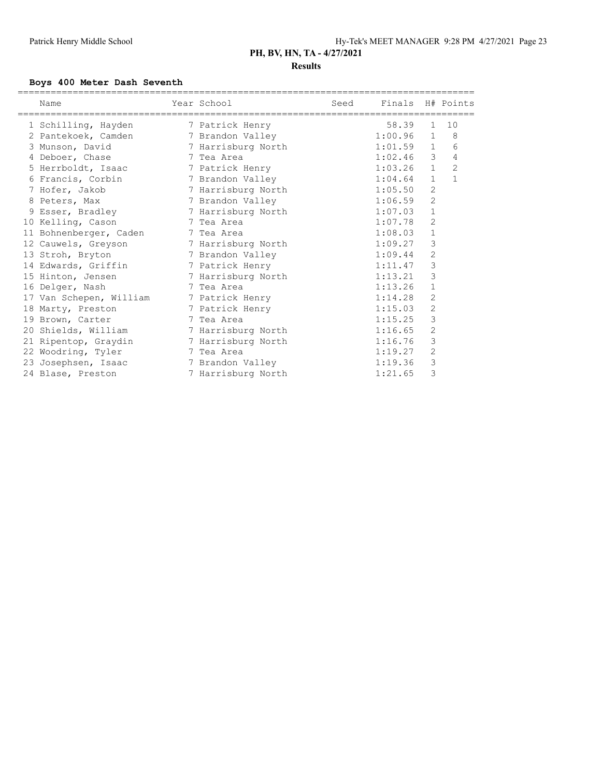### **Boys 400 Meter Dash Seventh**

| Name                               | Year School                       | Seed | Finals H# Points |                |                |
|------------------------------------|-----------------------------------|------|------------------|----------------|----------------|
|                                    | ================================= |      |                  |                |                |
| 1 Schilling, Hayden                | 7 Patrick Henry                   |      | 58.39            | $\mathbf{1}$   | 10             |
| 2 Pantekoek, Camden                | 7 Brandon Valley                  |      | 1:00.96          | $\mathbf{1}$   | 8              |
| 3 Munson, David 7 Harrisburg North |                                   |      | 1:01.59          | $\mathbf{1}$   | 6              |
| 4 Deboer, Chase                    | 7 Tea Area                        |      | 1:02.46          | 3              | 4              |
| 5 Herrboldt, Isaac                 | 7 Patrick Henry                   |      | 1:03.26          | $\mathbf{1}$   | $\overline{c}$ |
| 6 Francis, Corbin                  | 7 Brandon Valley                  |      | 1:04.64          | $\mathbf{1}$   | $\mathbf{1}$   |
| 7 Hofer, Jakob                     | 7 Harrisburg North                |      | 1:05.50          | $\mathbf{2}$   |                |
| 8 Peters, Max                      | 7 Brandon Valley                  |      | 1:06.59          | $\mathbf{2}$   |                |
| 9 Esser, Bradley                   | 7 Harrisburg North                |      | 1:07.03          | $\mathbf 1$    |                |
| 10 Kelling, Cason                  | 7 Tea Area                        |      | 1:07.78          | $\overline{2}$ |                |
| 11 Bohnenberger, Caden             | 7 Tea Area                        |      | 1:08.03          | $\mathbf 1$    |                |
| 12 Cauwels, Greyson                | 7 Harrisburg North                |      | 1:09.27          | 3              |                |
| 13 Stroh, Bryton                   | 7 Brandon Valley                  |      | 1:09.44          | $\sqrt{2}$     |                |
| 14 Edwards, Griffin                | 7 Patrick Henry                   |      | 1:11.47          | 3              |                |
| 15 Hinton, Jensen                  | 7 Harrisburg North                |      | 1:13.21          | 3              |                |
| 16 Delger, Nash                    | 7 Tea Area                        |      | 1:13.26          | $\mathbf 1$    |                |
| 17 Van Schepen, William            | 7 Patrick Henry                   |      | 1:14.28          | 2              |                |
| 18 Marty, Preston                  | 7 Patrick Henry                   |      | 1:15.03          | $\overline{c}$ |                |
| 19 Brown, Carter                   | 7 Tea Area                        |      | 1:15.25          | 3              |                |
| 20 Shields, William                | 7 Harrisburg North                |      | 1:16.65          | $\overline{c}$ |                |
| 21 Ripentop, Graydin               | 7 Harrisburg North                |      | 1:16.76          | 3              |                |
| 22 Woodring, Tyler                 | 7 Tea Area                        |      | 1:19.27          | 2              |                |
| 23 Josephsen, Isaac                | 7 Brandon Valley                  |      | 1:19.36          | 3              |                |
| 24 Blase, Preston                  | 7 Harrisburg North                |      | 1:21.65          | 3              |                |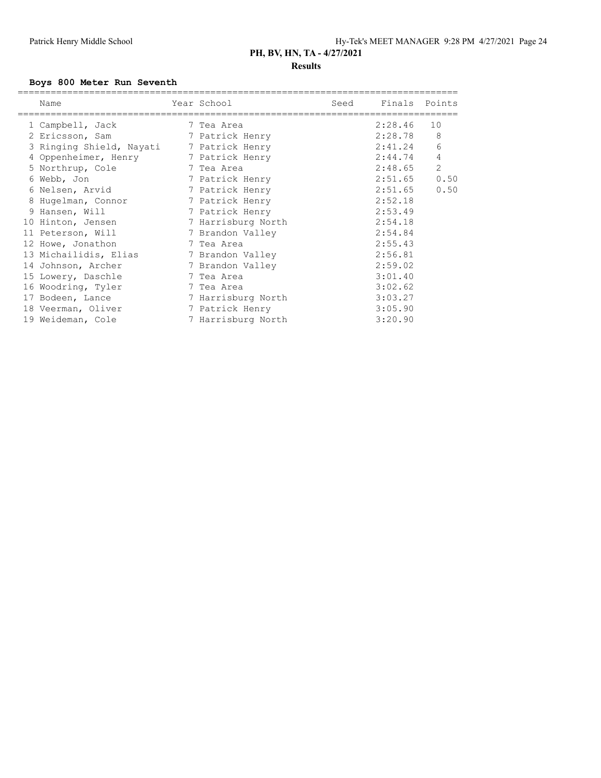### **Boys 800 Meter Run Seventh**

| Name                                     | Year School        | Seed | Finals Points |      |
|------------------------------------------|--------------------|------|---------------|------|
| 1 Campbell, Jack                         | 7 Tea Area         |      | 2:28.46       | 10   |
| 2 Ericsson, Sam                          | 7 Patrick Henry    |      | 2:28.78       | 8    |
| 3 Ringing Shield, Nayati 7 Patrick Henry |                    |      | 2:41.24       | 6    |
| 4 Oppenheimer, Henry                     | 7 Patrick Henry    |      | 2:44.74       | 4    |
| 5 Northrup, Cole                         | 7 Tea Area         |      | 2:48.65       | 2    |
| 6 Webb, Jon                              | 7 Patrick Henry    |      | 2:51.65       | 0.50 |
| 6 Nelsen, Arvid                          | 7 Patrick Henry    |      | 2:51.65       | 0.50 |
| 8 Hugelman, Connor                       | 7 Patrick Henry    |      | 2:52.18       |      |
| 9 Hansen, Will                           | 7 Patrick Henry    |      | 2:53.49       |      |
| 10 Hinton, Jensen                        | 7 Harrisburg North |      | 2:54.18       |      |
| 11 Peterson, Will                        | 7 Brandon Valley   |      | 2:54.84       |      |
| 12 Howe, Jonathon                        | 7 Tea Area         |      | 2:55.43       |      |
| 13 Michailidis, Elias                    | 7 Brandon Valley   |      | 2:56.81       |      |
| 14 Johnson, Archer                       | 7 Brandon Valley   |      | 2:59.02       |      |
| 15 Lowery, Daschle                       | 7 Tea Area         |      | 3:01.40       |      |
| 16 Woodring, Tyler                       | 7 Tea Area         |      | 3:02.62       |      |
| 17 Bodeen, Lance                         | 7 Harrisburg North |      | 3:03.27       |      |
| 18 Veerman, Oliver                       | 7 Patrick Henry    |      | 3:05.90       |      |
| 19 Weideman, Cole                        | 7 Harrisburg North |      | 3:20.90       |      |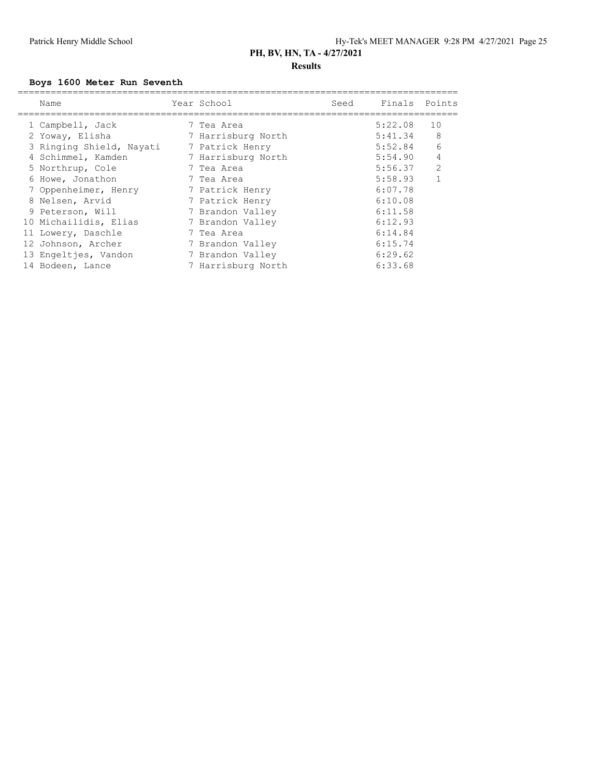### **Boys 1600 Meter Run Seventh**

| Name                     | Year School        | Seed | Finals Points |                |
|--------------------------|--------------------|------|---------------|----------------|
| 1 Campbell, Jack         | 7 Tea Area         |      | 5:22.08       | 10             |
| 2 Yoway, Elisha          | 7 Harrisburg North |      | 5:41.34       | 8              |
| 3 Ringing Shield, Nayati | 7 Patrick Henry    |      | 5:52.84       | 6              |
| 4 Schimmel, Kamden       | 7 Harrisburg North |      | 5:54.90       | 4              |
| 5 Northrup, Cole         | 7 Tea Area         |      | 5:56.37       | 2              |
| 6 Howe, Jonathon         | 7 Tea Area         |      | 5:58.93       | $\overline{1}$ |
| 7 Oppenheimer, Henry     | 7 Patrick Henry    |      | 6:07.78       |                |
| 8 Nelsen, Arvid          | 7 Patrick Henry    |      | 6:10.08       |                |
| 9 Peterson, Will         | 7 Brandon Valley   |      | 6:11.58       |                |
| 10 Michailidis, Elias    | 7 Brandon Valley   |      | 6:12.93       |                |
| 11 Lowery, Daschle       | 7 Tea Area         |      | 6:14.84       |                |
| 12 Johnson, Archer       | 7 Brandon Valley   |      | 6:15.74       |                |
| 13 Engeltjes, Vandon     | 7 Brandon Valley   |      | 6:29.62       |                |
| 14 Bodeen, Lance         | 7 Harrisburg North |      | 6:33.68       |                |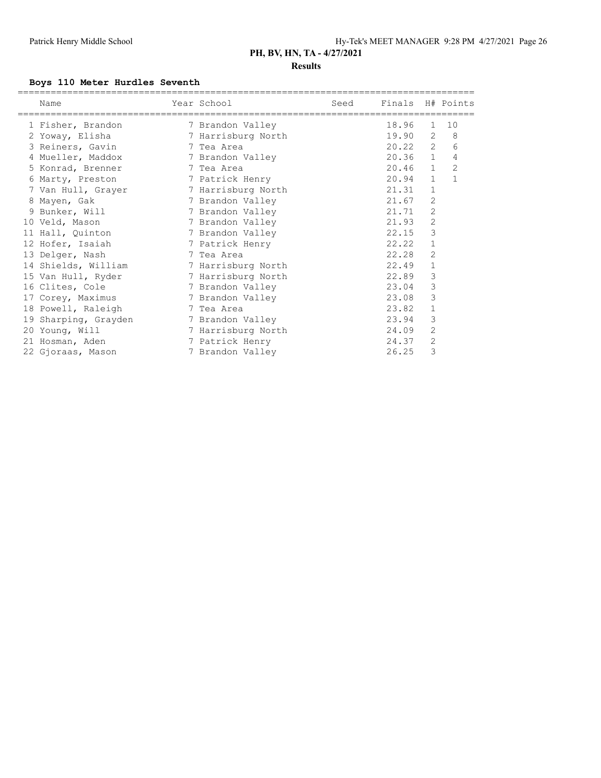# **Results**

### **Boys 110 Meter Hurdles Seventh**

| Name                 | Year School        | Seed | Finals H# Points |              |                |
|----------------------|--------------------|------|------------------|--------------|----------------|
| 1 Fisher, Brandon    | 7 Brandon Valley   |      | 18.96            | $\mathbf{1}$ | 10             |
| 2 Yoway, Elisha      | 7 Harrisburg North |      | 19.90            | 2            | 8              |
| 3 Reiners, Gavin     | 7 Tea Area         |      | 20.22            | 2            | 6              |
| 4 Mueller, Maddox    | 7 Brandon Valley   |      | 20.36            | $\mathbf{1}$ | 4              |
| 5 Konrad, Brenner    | 7 Tea Area         |      | 20.46            | $\mathbf{1}$ | $\overline{c}$ |
| 6 Marty, Preston     | 7 Patrick Henry    |      | 20.94            | $\mathbf{1}$ | $\mathbf{1}$   |
| 7 Van Hull, Grayer   | 7 Harrisburg North |      | 21.31            | 1            |                |
| 8 Mayen, Gak         | 7 Brandon Valley   |      | 21.67            | 2            |                |
| 9 Bunker, Will       | 7 Brandon Valley   |      | 21.71            | 2            |                |
| 10 Veld, Mason       | 7 Brandon Valley   |      | 21.93            | $\mathbf{2}$ |                |
| 11 Hall, Quinton     | 7 Brandon Valley   |      | 22.15            | 3            |                |
| 12 Hofer, Isaiah     | 7 Patrick Henry    |      | 22.22            | $\mathbf{1}$ |                |
| 13 Delger, Nash      | 7 Tea Area         |      | 22.28            | 2            |                |
| 14 Shields, William  | 7 Harrisburg North |      | 22.49            | $\mathbf 1$  |                |
| 15 Van Hull, Ryder   | 7 Harrisburg North |      | 22.89            | 3            |                |
| 16 Clites, Cole      | 7 Brandon Valley   |      | 23.04            | 3            |                |
| 17 Corey, Maximus    | 7 Brandon Valley   |      | 23.08            | 3            |                |
| 18 Powell, Raleigh   | 7 Tea Area         |      | 23.82            | 1            |                |
| 19 Sharping, Grayden | 7 Brandon Valley   |      | 23.94            | 3            |                |
| 20 Young, Will       | 7 Harrisburg North |      | 24.09            | 2            |                |
| 21 Hosman, Aden      | 7 Patrick Henry    |      | 24.37            | 2            |                |
| 22 Gjoraas, Mason    | 7 Brandon Valley   |      | 26.25            | 3            |                |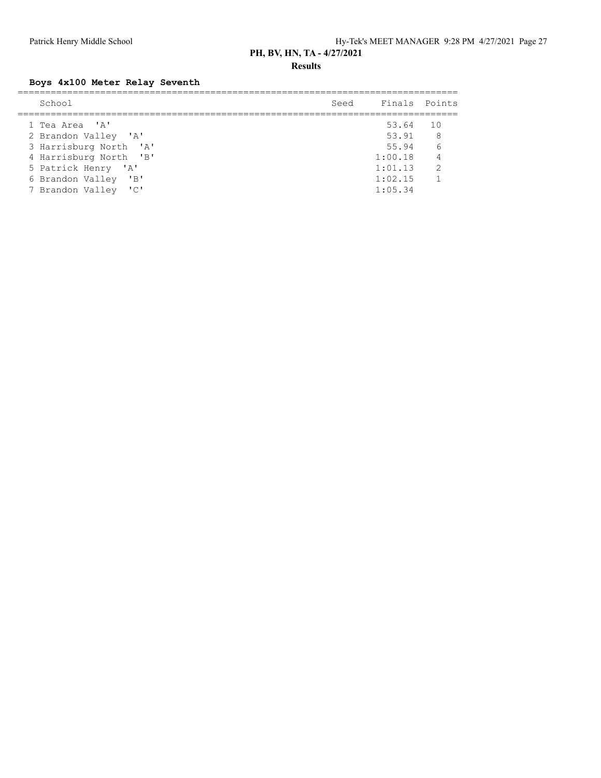**Results**

### **Boys 4x100 Meter Relay Seventh**

| School                           | Seed | Finals Points |                 |
|----------------------------------|------|---------------|-----------------|
| 1 Tea Area 'A'                   |      | 53.64 10      |                 |
| 2 Brandon Valley 'A'             |      | 53.91         | 8 <sup>8</sup>  |
| 3 Harrisburg North 'A'           |      | 55.94         | $6\overline{6}$ |
| 4 Harrisburg North 'B'           |      | 1:00.18       | $\overline{4}$  |
| 5 Patrick Henry 'A'              |      | 1:01.13       | $\overline{2}$  |
| $\mathsf{B}$<br>6 Brandon Valley |      | 1:02.15       | $\overline{1}$  |
| 7 Brandon Valley 'C'             |      | 1:05.34       |                 |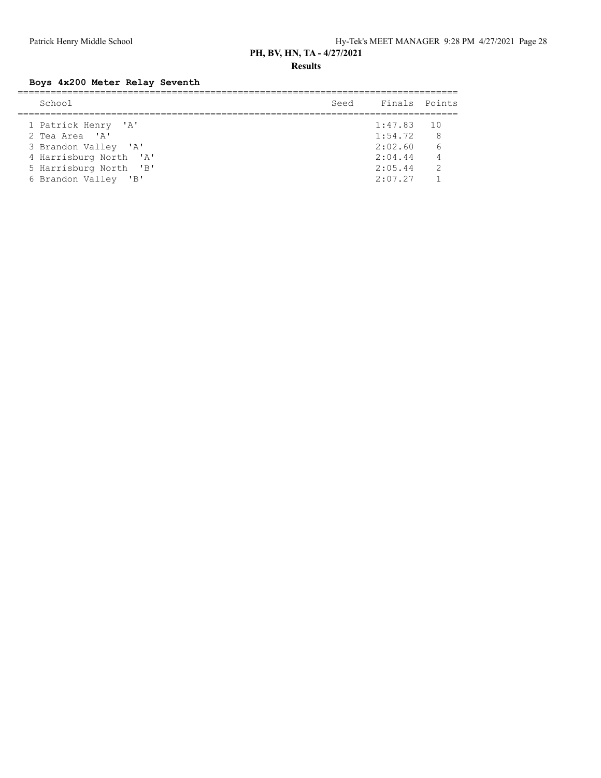**Results**

**Boys 4x200 Meter Relay Seventh**

| School                 | Seed | Finals Points |                 |
|------------------------|------|---------------|-----------------|
|                        |      |               |                 |
| 1 Patrick Henry 'A'    |      | 1:47.83       | $\overline{10}$ |
| 2 Tea Area 'A'         |      | 1:54.72       | 8               |
| 3 Brandon Valley 'A'   |      | 2:02.60       | 6               |
| 4 Harrisburg North 'A' |      | 2:04.44       | $\overline{4}$  |
| 5 Harrisburg North 'B' |      | 2:05.44       | $\mathcal{P}$   |
| 6 Brandon Valley 'B'   |      | 2:07.27       |                 |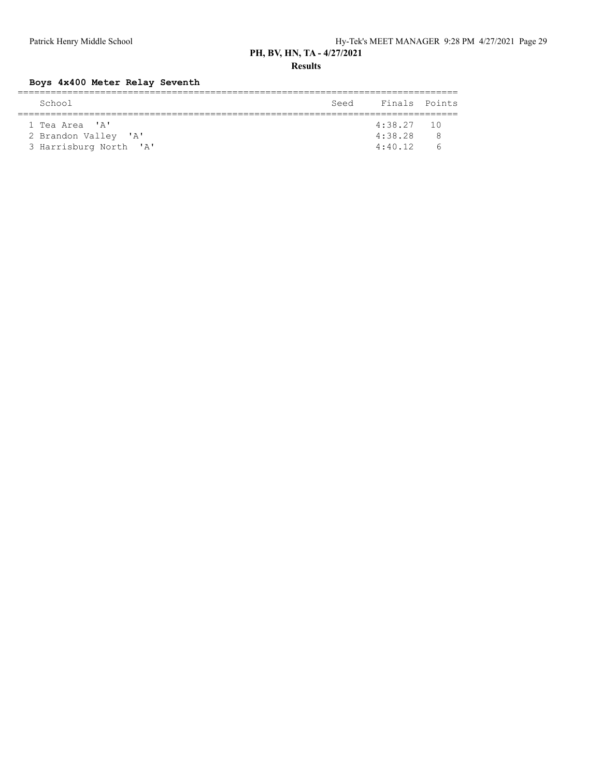**Results**

### **Boys 4x400 Meter Relay Seventh**

| School                 | Seed | Finals Points |            |  |  |  |  |
|------------------------|------|---------------|------------|--|--|--|--|
|                        |      |               |            |  |  |  |  |
| 1 Tea Area 'A'         |      | $4:38.27$ 10  |            |  |  |  |  |
| 2 Brandon Valley 'A'   |      | 4:38.28       | ₽          |  |  |  |  |
| 3 Harrisburg North 'A' |      | 4:40.12       | $\sqrt{2}$ |  |  |  |  |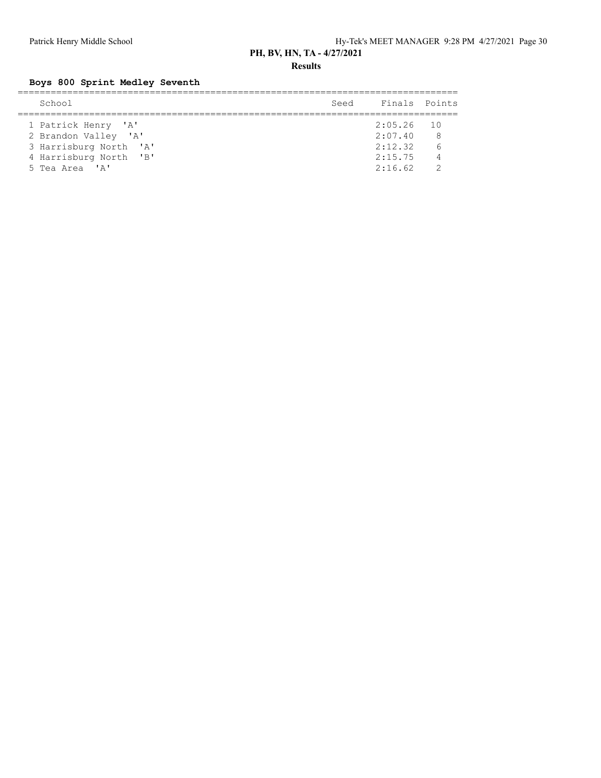**Results**

### **Boys 800 Sprint Medley Seventh**

| School                 | Seed | Finals Points |     |
|------------------------|------|---------------|-----|
|                        |      |               |     |
| 1 Patrick Henry 'A'    |      | $2:05.26$ 10  |     |
| 2 Brandon Valley 'A'   |      | 2:07.40       | - 8 |
| 3 Harrisburg North 'A' |      | 2:12.32       | 6   |
| 4 Harrisburg North 'B' |      | 2:15.75       | - 4 |
| 5 Tea Area 'A'         |      | 2:16.62       |     |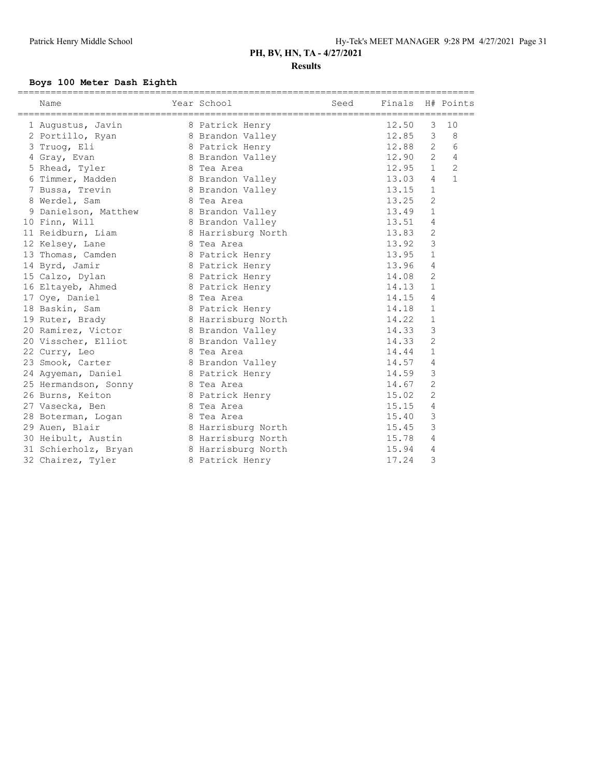### **Boys 100 Meter Dash Eighth**

| Year School<br>Name                   |                    | Seed | Finals H# Points |                |                |
|---------------------------------------|--------------------|------|------------------|----------------|----------------|
|                                       |                    |      |                  |                |                |
| 1 Augustus, Javin                     | 8 Patrick Henry    |      | 12.50            | 3              | 10             |
| 2 Portillo, Ryan 8 Brandon Valley     |                    |      | 12.85            | 3              | 8              |
| 3 Truog, Eli                          | 8 Patrick Henry    |      | 12.88            | 2              | 6              |
| 4 Gray, Evan                          | 8 Brandon Valley   |      | 12.90            | $2^{\circ}$    | $\overline{4}$ |
| 5 Rhead, Tyler                        | 8 Tea Area         |      | 12.95            | $\mathbf{1}$   | $\overline{2}$ |
| 6 Timmer, Madden                      | 8 Brandon Valley   |      | 13.03            | $\overline{4}$ | $\mathbf{1}$   |
| 7 Bussa, Trevin                       | 8 Brandon Valley   |      | 13.15            | $\mathbf{1}$   |                |
| 8 Werdel, Sam                         | 8 Tea Area         |      | 13.25            | $\overline{2}$ |                |
| 9 Danielson, Matthew 8 Brandon Valley |                    |      | 13.49            | $\mathbf{1}$   |                |
| 10 Finn, Will                         | 8 Brandon Valley   |      | 13.51            | 4              |                |
| 11 Reidburn, Liam                     | 8 Harrisburg North |      | 13.83            | 2              |                |
| 12 Kelsey, Lane                       | 8 Tea Area         |      | 13.92            | $\mathcal{S}$  |                |
| 13 Thomas, Camden                     | 8 Patrick Henry    |      | 13.95            | $\mathbf{1}$   |                |
| 14 Byrd, Jamir                        | 8 Patrick Henry    |      | 13.96            | $\overline{4}$ |                |
| 15 Calzo, Dylan                       | 8 Patrick Henry    |      | 14.08            | $\overline{2}$ |                |
| 16 Eltayeb, Ahmed                     | 8 Patrick Henry    |      | 14.13            | $\mathbf{1}$   |                |
| 17 Oye, Daniel                        | 8 Tea Area         |      | 14.15            | $\overline{4}$ |                |
| 18 Baskin, Sam                        | 8 Patrick Henry    |      | 14.18            | $\mathbf{1}$   |                |
| 19 Ruter, Brady                       | 8 Harrisburg North |      | 14.22            | $\mathbf{1}$   |                |
| 20 Ramirez, Victor                    | 8 Brandon Valley   |      | 14.33            | 3              |                |
| 20 Visscher, Elliot                   | 8 Brandon Valley   |      | 14.33            | $\overline{2}$ |                |
| 22 Curry, Leo                         | 8 Tea Area         |      | 14.44            | $\mathbf{1}$   |                |
| 23 Smook, Carter                      | 8 Brandon Valley   |      | 14.57            | 4              |                |
| 24 Agyeman, Daniel                    | 8 Patrick Henry    |      | 14.59            | 3              |                |
| 25 Hermandson, Sonny                  | 8 Tea Area         |      | 14.67            | $\mathbf{2}$   |                |
| 26 Burns, Keiton                      | 8 Patrick Henry    |      | 15.02            | $\mathbf{2}$   |                |
| 27 Vasecka, Ben                       | 8 Tea Area         |      | 15.15            | 4              |                |
| 28 Boterman, Logan                    | 8 Tea Area         |      | 15.40            | 3              |                |
| 29 Auen, Blair                        | 8 Harrisburg North |      | 15.45            | 3              |                |
| 30 Heibult, Austin                    | 8 Harrisburg North |      | 15.78            | 4              |                |
| 31 Schierholz, Bryan                  | 8 Harrisburg North |      | 15.94            | 4              |                |
| 32 Chairez, Tyler                     | 8 Patrick Henry    |      | 17.24            | 3              |                |
|                                       |                    |      |                  |                |                |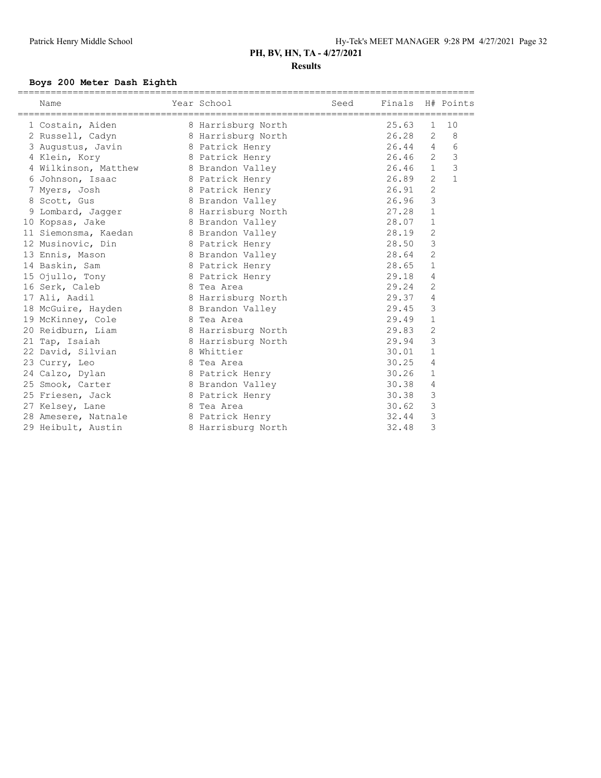### **Boys 200 Meter Dash Eighth**

| Name                                   | Year School        | Seed | Finals H# Points |                |               |
|----------------------------------------|--------------------|------|------------------|----------------|---------------|
| 1 Costain, Aiden                       | 8 Harrisburg North |      | 25.63            | $\mathbf{1}$   | 10            |
| 2 Russell, Cadyn                       | 8 Harrisburg North |      | 26.28            | 2              | 8             |
| 3 Augustus, Javin 8 Patrick Henry      |                    |      | 26.44            | $\overline{4}$ | 6             |
| 4 Klein, Kory                          | 8 Patrick Henry    |      | 26.46            | $\overline{2}$ | $\mathcal{S}$ |
| 4 Wilkinson, Matthew 8 Brandon Valley  |                    |      | 26.46            | $\mathbf{1}$   | 3             |
| 6 Johnson, Isaac                       | 8 Patrick Henry    |      | 26.89            | $\overline{2}$ | $\mathbf{1}$  |
| 7 Myers, Josh                          | 8 Patrick Henry    |      | 26.91            | $\overline{2}$ |               |
| 8 Scott, Gus                           | 8 Brandon Valley   |      | 26.96            | 3              |               |
| 9 Lombard, Jagger 8 Harrisburg North   |                    |      | 27.28            | $\mathbf{1}$   |               |
| 10 Kopsas, Jake                        | 8 Brandon Valley   |      | 28.07            | $\mathbf{1}$   |               |
| 11 Siemonsma, Kaedan 68 Brandon Valley |                    |      | 28.19            | $\overline{2}$ |               |
| 12 Musinovic, Din                      | 8 Patrick Henry    |      | 28.50            | 3              |               |
| 13 Ennis, Mason                        | 8 Brandon Valley   |      | 28.64            | $\overline{2}$ |               |
| 14 Baskin, Sam                         | 8 Patrick Henry    |      | 28.65            | $\mathbf{1}$   |               |
| 15 Ojullo, Tony                        | 8 Patrick Henry    |      | 29.18            | 4              |               |
| 16 Serk, Caleb                         | 8 Tea Area         |      | 29.24            | 2              |               |
| 17 Ali, Aadil                          | 8 Harrisburg North |      | 29.37            | 4              |               |
| 18 McGuire, Hayden                     | 8 Brandon Valley   |      | 29.45            | 3              |               |
| 19 McKinney, Cole                      | 8 Tea Area         |      | 29.49            | $\mathbf 1$    |               |
| 20 Reidburn, Liam                      | 8 Harrisburg North |      | 29.83            | $\overline{2}$ |               |
| 21 Tap, Isaiah                         | 8 Harrisburg North |      | 29.94            | 3              |               |
| 22 David, Silvian                      | 8 Whittier         |      | 30.01            | $\mathbf{1}$   |               |
| 23 Curry, Leo                          | 8 Tea Area         |      | 30.25            | 4              |               |
| 24 Calzo, Dylan                        | 8 Patrick Henry    |      | 30.26            | $\mathbf 1$    |               |
| 25 Smook, Carter                       | 8 Brandon Valley   |      | 30.38            | 4              |               |
| 25 Friesen, Jack                       | 8 Patrick Henry    |      | 30.38            | 3              |               |
| 27 Kelsey, Lane                        | 8 Tea Area         |      | 30.62            | 3              |               |
| 28 Amesere, Natnale 3 Patrick Henry    |                    |      | 32.44            | 3              |               |
| 29 Heibult, Austin                     | 8 Harrisburg North |      | 32.48            | 3              |               |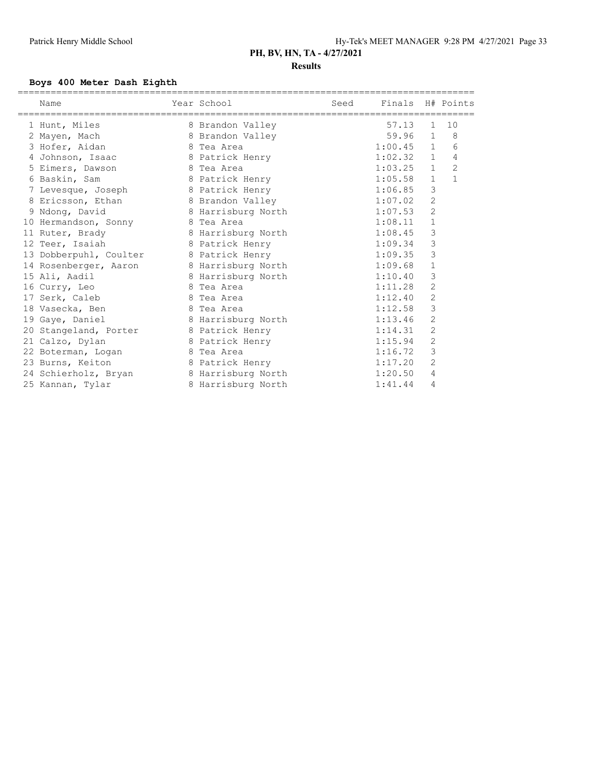### **Boys 400 Meter Dash Eighth**

| Name<br>================================== | Year School        | Seed | Finals H# Points |                |                |
|--------------------------------------------|--------------------|------|------------------|----------------|----------------|
| 1 Hunt, Miles                              | 8 Brandon Valley   |      | 57.13            | $\mathbf{1}$   | 10             |
| 2 Mayen, Mach                              | 8 Brandon Valley   |      | 59.96            | $\mathbf{1}$   | 8              |
| 3 Hofer, Aidan                             | 8 Tea Area         |      | 1:00.45          | $\mathbf{1}$   | 6              |
| 4 Johnson, Isaac                           | 8 Patrick Henry    |      | 1:02.32          | $\mathbf{1}$   | 4              |
| 5 Eimers, Dawson                           | 8 Tea Area         |      | 1:03.25          | $\mathbf{1}$   | $\overline{2}$ |
| 6 Baskin, Sam                              | 8 Patrick Henry    |      | 1:05.58          | $\mathbf{1}$   | $\mathbf{1}$   |
| 7 Levesque, Joseph 8 Patrick Henry         |                    |      | 1:06.85          | 3              |                |
| 8 Ericsson, Ethan 8 Brandon Valley         |                    |      | 1:07.02          | 2              |                |
| 9 Ndong, David                             | 8 Harrisburg North |      | 1:07.53          | $\overline{2}$ |                |
| 10 Hermandson, Sonny 8 Tea Area            |                    |      | 1:08.11          | $\mathbf 1$    |                |
| 11 Ruter, Brady                            | 8 Harrisburg North |      | 1:08.45          | $\mathsf 3$    |                |
| 12 Teer, Isaiah                            | 8 Patrick Henry    |      | 1:09.34          | 3              |                |
| 13 Dobberpuhl, Coulter 8 Patrick Henry     |                    |      | 1:09.35          | 3              |                |
| 14 Rosenberger, Aaron                      | 8 Harrisburg North |      | 1:09.68          | $\mathbf{1}$   |                |
| 15 Ali, Aadil                              | 8 Harrisburg North |      | 1:10.40          | 3              |                |
| 16 Curry, Leo                              | 8 Tea Area         |      | 1:11.28          | $\overline{c}$ |                |
| 17 Serk, Caleb                             | 8 Tea Area         |      | 1:12.40          | $\overline{c}$ |                |
| 18 Vasecka, Ben                            | 8 Tea Area         |      | 1:12.58          | 3              |                |
| 19 Gaye, Daniel                            | 8 Harrisburg North |      | 1:13.46          | 2              |                |
| 20 Stangeland, Porter 8 Patrick Henry      |                    |      | 1:14.31          | $\overline{c}$ |                |
| 21 Calzo, Dylan                            | 8 Patrick Henry    |      | 1:15.94          | 2              |                |
| 22 Boterman, Logan 8 Tea Area              |                    |      | 1:16.72          | 3              |                |
| 23 Burns, Keiton                           | 8 Patrick Henry    |      | 1:17.20          | $\overline{c}$ |                |
| 24 Schierholz, Bryan 8 Harrisburg North    |                    |      | 1:20.50          | 4              |                |
| 25 Kannan, Tylar                           | 8 Harrisburg North |      | 1:41.44          | 4              |                |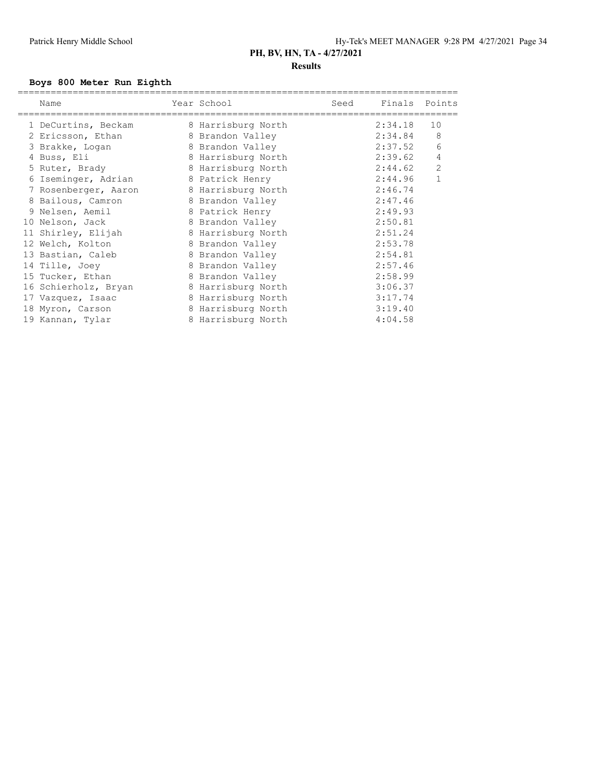### **Boys 800 Meter Run Eighth**

| Name                 | Year School        | Seed | Finals Points |                |
|----------------------|--------------------|------|---------------|----------------|
| 1 DeCurtins, Beckam  | 8 Harrisburg North |      | 2:34.18       | 10             |
| 2 Ericsson, Ethan    | 8 Brandon Valley   |      | 2:34.84       | 8              |
| 3 Brakke, Logan      | 8 Brandon Valley   |      | 2:37.52       | 6              |
| 4 Buss, Eli          | 8 Harrisburg North |      | 2:39.62       | 4              |
| 5 Ruter, Brady       | 8 Harrisburg North |      | 2:44.62       | $\overline{2}$ |
| 6 Iseminger, Adrian  | 8 Patrick Henry    |      | 2:44.96       | $\mathbf{1}$   |
| 7 Rosenberger, Aaron | 8 Harrisburg North |      | 2:46.74       |                |
| 8 Bailous, Camron    | 8 Brandon Valley   |      | 2:47.46       |                |
| 9 Nelsen, Aemil      | 8 Patrick Henry    |      | 2:49.93       |                |
| 10 Nelson, Jack      | 8 Brandon Valley   |      | 2:50.81       |                |
| 11 Shirley, Elijah   | 8 Harrisburg North |      | 2:51.24       |                |
| 12 Welch, Kolton     | 8 Brandon Valley   |      | 2:53.78       |                |
| 13 Bastian, Caleb    | 8 Brandon Valley   |      | 2:54.81       |                |
| 14 Tille, Joey       | 8 Brandon Valley   |      | 2:57.46       |                |
| 15 Tucker, Ethan     | 8 Brandon Valley   |      | 2:58.99       |                |
| 16 Schierholz, Bryan | 8 Harrisburg North |      | 3:06.37       |                |
| 17 Vazquez, Isaac    | 8 Harrisburg North |      | 3:17.74       |                |
| 18 Myron, Carson     | 8 Harrisburg North |      | 3:19.40       |                |
| 19 Kannan, Tylar     | 8 Harrisburg North |      | 4:04.58       |                |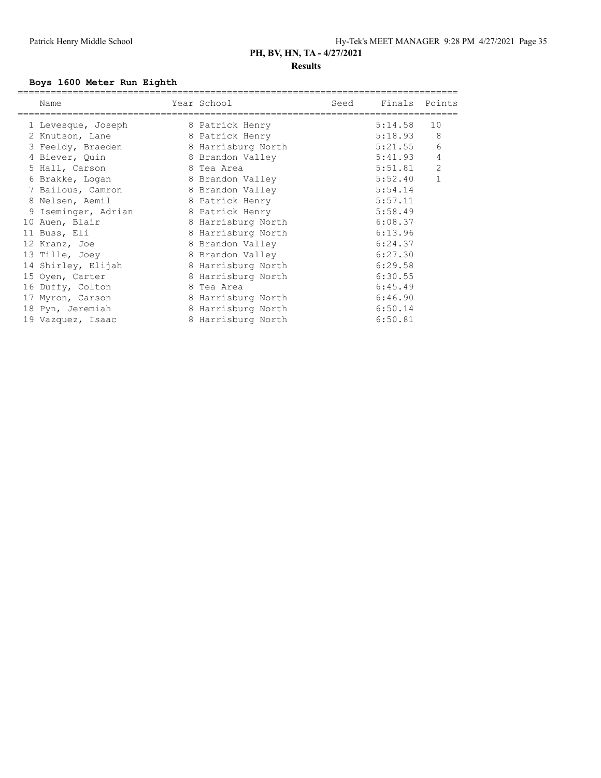### **Boys 1600 Meter Run Eighth**

| Name                | Year School        | Seed | Finals Points |                |
|---------------------|--------------------|------|---------------|----------------|
| 1 Levesque, Joseph  | 8 Patrick Henry    |      | 5:14.58       | 10             |
| 2 Knutson, Lane     | 8 Patrick Henry    |      | 5:18.93       | 8              |
| 3 Feeldy, Braeden   | 8 Harrisburg North |      | 5:21.55       | 6              |
| 4 Biever, Quin      | 8 Brandon Valley   |      | 5:41.93       | 4              |
| 5 Hall, Carson      | 8 Tea Area         |      | 5:51.81       | $\overline{2}$ |
| 6 Brakke, Logan     | 8 Brandon Valley   |      | 5:52.40       | $\mathbf{1}$   |
| 7 Bailous, Camron   | 8 Brandon Valley   |      | 5:54.14       |                |
| 8 Nelsen, Aemil     | 8 Patrick Henry    |      | 5:57.11       |                |
| 9 Iseminger, Adrian | 8 Patrick Henry    |      | 5:58.49       |                |
| 10 Auen, Blair      | 8 Harrisburg North |      | 6:08.37       |                |
| 11 Buss, Eli        | 8 Harrisburg North |      | 6:13.96       |                |
| 12 Kranz, Joe       | 8 Brandon Valley   |      | 6:24.37       |                |
| 13 Tille, Joey      | 8 Brandon Valley   |      | 6:27.30       |                |
| 14 Shirley, Elijah  | 8 Harrisburg North |      | 6:29.58       |                |
| 15 Oyen, Carter     | 8 Harrisburg North |      | 6:30.55       |                |
| 16 Duffy, Colton    | 8 Tea Area         |      | 6:45.49       |                |
| 17 Myron, Carson    | 8 Harrisburg North |      | 6:46.90       |                |
| 18 Pyn, Jeremiah    | 8 Harrisburg North |      | 6:50.14       |                |
| 19 Vazquez, Isaac   | 8 Harrisburg North |      | 6:50.81       |                |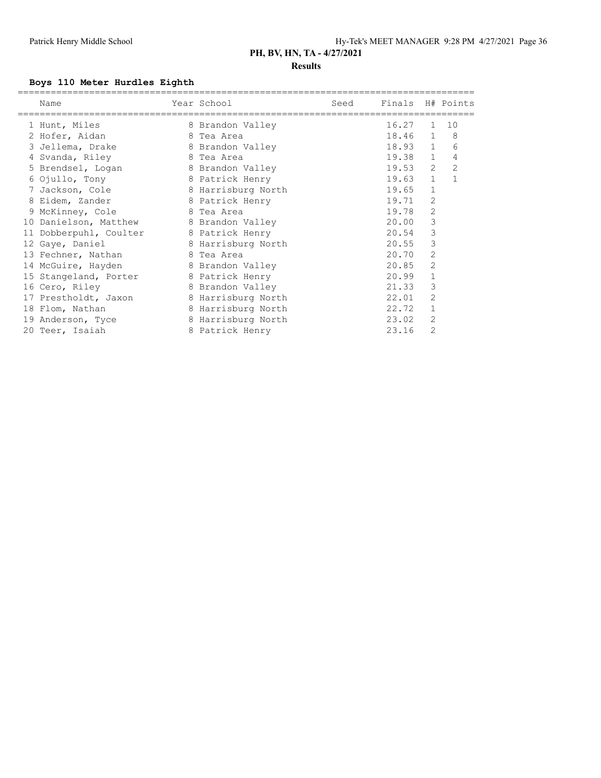### **Results**

### **Boys 110 Meter Hurdles Eighth**

|    | Name                  | Year School        | Seed | Finals H# Points |                |                |
|----|-----------------------|--------------------|------|------------------|----------------|----------------|
|    | 1 Hunt, Miles         | 8 Brandon Valley   |      | 16.27            | $\mathbf{1}$   | 10             |
|    | 2 Hofer, Aidan        | 8 Tea Area         |      | 18.46            | $\mathbf{1}$   | 8              |
|    | 3 Jellema, Drake      | 8 Brandon Valley   |      | 18.93            | $\mathbf{1}$   | 6              |
|    | 4 Svanda, Riley       | 8 Tea Area         |      | 19.38            | $\mathbf{1}$   | 4              |
|    | 5 Brendsel, Logan     | 8 Brandon Valley   |      | 19.53            | 2              | $\overline{c}$ |
|    | 6 Ojullo, Tony        | 8 Patrick Henry    |      | 19.63            | $\mathbf{1}$   | 1              |
|    | 7 Jackson, Cole       | 8 Harrisburg North |      | 19.65            | $\mathbf{1}$   |                |
|    | 8 Eidem, Zander       | 8 Patrick Henry    |      | 19.71            | 2              |                |
|    | 9 McKinney, Cole      | 8 Tea Area         |      | 19.78            | $\overline{2}$ |                |
|    | 10 Danielson, Matthew | 8 Brandon Valley   |      | 20.00            | 3              |                |
| 11 | Dobberpuhl, Coulter   | 8 Patrick Henry    |      | 20.54            | 3              |                |
|    | 12 Gaye, Daniel       | 8 Harrisburg North |      | 20.55            | 3              |                |
|    | 13 Fechner, Nathan    | 8 Tea Area         |      | 20.70            | 2              |                |
|    | 14 McGuire, Hayden    | 8 Brandon Valley   |      | 20.85            | 2              |                |
|    | 15 Stangeland, Porter | 8 Patrick Henry    |      | 20.99            | $\mathbf{1}$   |                |
|    | 16 Cero, Riley        | 8 Brandon Valley   |      | 21.33            | 3              |                |
|    | 17 Prestholdt, Jaxon  | 8 Harrisburg North |      | 22.01            | 2              |                |
|    | 18 Flom, Nathan       | 8 Harrisburg North |      | 22.72            | $\mathbf{1}$   |                |
|    | 19 Anderson, Tyce     | 8 Harrisburg North |      | 23.02            | 2              |                |
|    | 20 Teer, Isaiah       | 8 Patrick Henry    |      | 23.16            | 2              |                |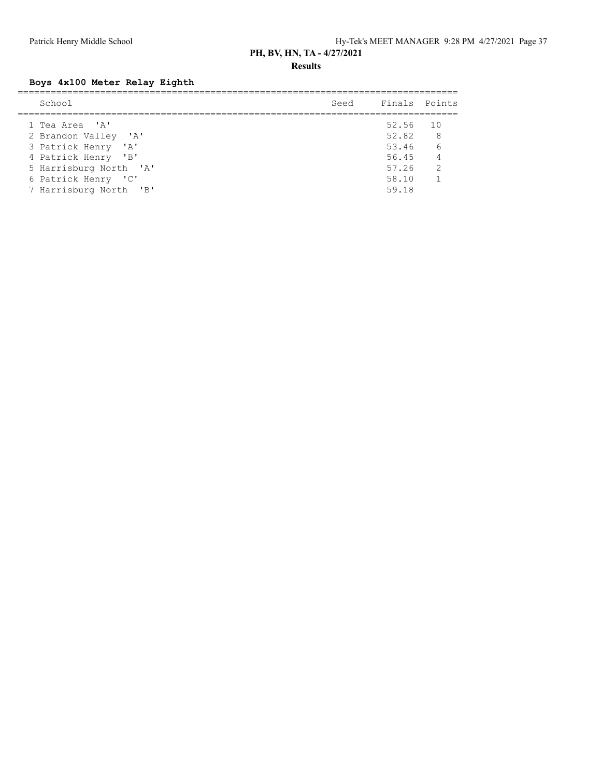**Results**

### **Boys 4x100 Meter Relay Eighth**

| School                 | Seed Finals Points |                |
|------------------------|--------------------|----------------|
| 1 Tea Area 'A'         | 52.56 10           |                |
| 2 Brandon Valley 'A'   | 52.82              | 8              |
| 3 Patrick Henry 'A'    | 53.46 6            |                |
| 4 Patrick Henry 'B'    | 56.45 4            |                |
| 5 Harrisburg North 'A' | 57.26              | $\overline{2}$ |
| 6 Patrick Henry 'C'    | 58.10              |                |
| 7 Harrisburg North 'B' | 59.18              |                |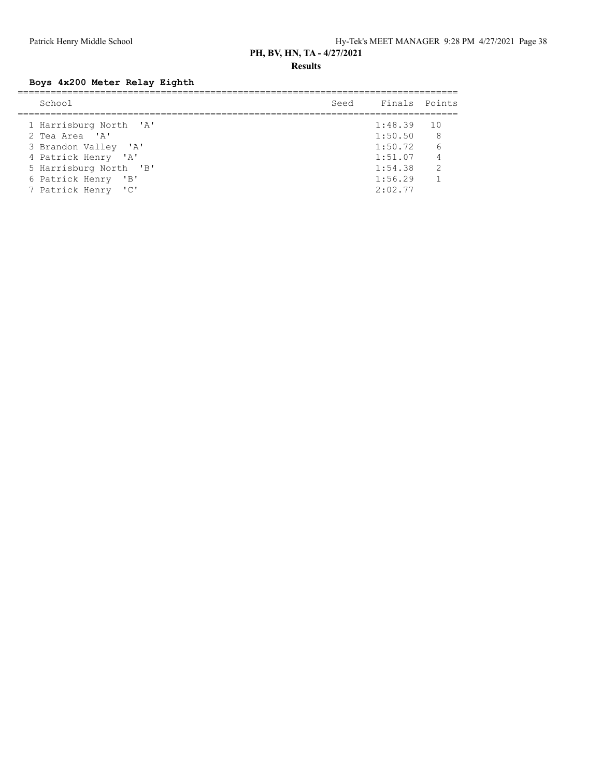**Results**

### **Boys 4x200 Meter Relay Eighth**

| School                 | Seed Finals Points |                |
|------------------------|--------------------|----------------|
| 1 Harrisburg North 'A' | $1:48.39$ 10       |                |
| 2 Tea Area 'A'         | 1:50.50            | 8 <sup>8</sup> |
| 3 Brandon Valley 'A'   | 1:50.72            | 6              |
| 4 Patrick Henry 'A'    | 1:51.07            | $\overline{4}$ |
| 5 Harrisburg North 'B' | 1:54.38            | $\overline{2}$ |
| 6 Patrick Henry 'B'    | 1:56.29            | $\overline{1}$ |
| 7 Patrick Henry 'C'    | 2:02.77            |                |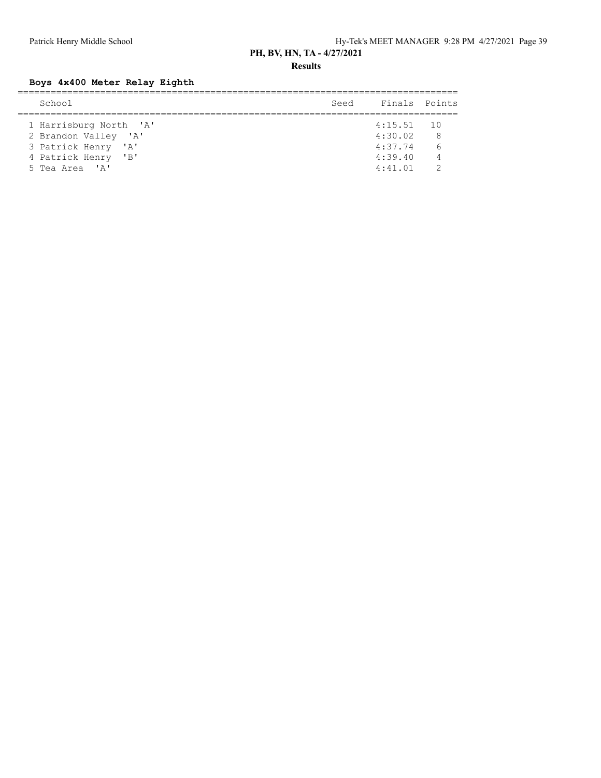**Results**

### **Boys 4x400 Meter Relay Eighth**

| School                 | Seed | Finals Points |                |
|------------------------|------|---------------|----------------|
|                        |      |               |                |
| 1 Harrisburg North 'A' |      | $4:15.51$ 10  |                |
| 2 Brandon Valley 'A'   |      | 4:30.02       | 8              |
| 3 Patrick Henry 'A'    |      | 4:37.74       | 6              |
| 4 Patrick Henry 'B'    |      | 4:39.40       | $\overline{4}$ |
| 5 Tea Area 'A'         |      | 4:41.01       |                |